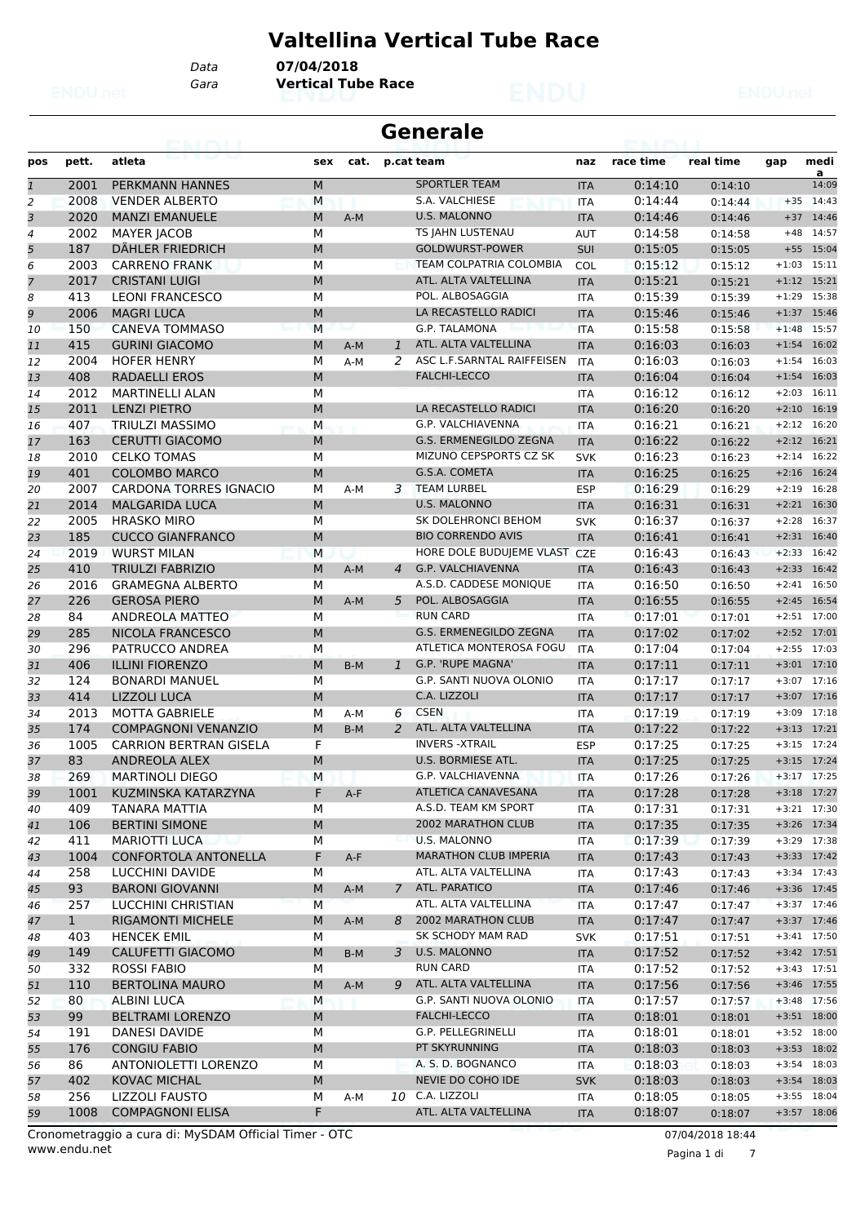#### **Valtellina Vertical Tube Race**

*Gara* **Vertical Tube Race** *Data* **07/04/2018**

|                |                     |                                                |        |       |                | <b>Generale</b>                                   |                          |                    |                    |         |                              |
|----------------|---------------------|------------------------------------------------|--------|-------|----------------|---------------------------------------------------|--------------------------|--------------------|--------------------|---------|------------------------------|
| pos            | pett.               | atleta                                         | sex    | cat.  |                | p.cat team                                        | naz                      | race time          | real time          | gap     | medi                         |
| $\mathbf{1}$   | 2001                | PERKMANN HANNES                                | M      |       |                | <b>SPORTLER TEAM</b>                              | <b>ITA</b>               | 0:14:10            | 0:14:10            |         | a<br>14:09                   |
| 2              | 2008                | <b>VENDER ALBERTO</b>                          | M      |       |                | S.A. VALCHIESE                                    | <b>ITA</b>               | 0:14:44            | 0:14:44            |         | $+35$ 14:43                  |
| 3              | 2020                | <b>MANZI EMANUELE</b>                          | M      | $A-M$ |                | <b>U.S. MALONNO</b>                               | <b>ITA</b>               | 0:14:46            | 0:14:46            | $+37$   | 14:46                        |
| $\overline{a}$ | 2002                | <b>MAYER JACOB</b>                             | M      |       |                | TS JAHN LUSTENAU                                  | <b>AUT</b>               | 0:14:58            | 0:14:58            | $+48$   | 14:57                        |
| 5              | 187                 | DÄHLER FRIEDRICH                               | M      |       |                | <b>GOLDWURST-POWER</b>                            | SUI                      | 0:15:05            | 0:15:05            |         | $+55$ 15:04                  |
| 6              | 2003                | <b>CARRENO FRANK</b>                           | M      |       |                | TEAM COLPATRIA COLOMBIA                           | COL                      | 0:15:12            | 0:15:12            |         | $+1:03$ 15:11                |
| 7              | 2017                | <b>CRISTANI LUIGI</b>                          | M      |       |                | ATL. ALTA VALTELLINA                              | <b>ITA</b>               | 0:15:21            | 0:15:21            |         | $+1:12$ 15:21                |
| 8              | 413                 | <b>LEONI FRANCESCO</b>                         | M      |       |                | POL. ALBOSAGGIA                                   | <b>ITA</b>               | 0:15:39            | 0:15:39            |         | $+1:29$ 15:38                |
| 9              | 2006                | <b>MAGRI LUCA</b>                              | M      |       |                | LA RECASTELLO RADICI                              | <b>ITA</b>               | 0:15:46            | 0:15:46            | $+1:37$ | 15:46                        |
| 10             | 150                 | <b>CANEVA TOMMASO</b>                          | M      | w     |                | <b>G.P. TALAMONA</b>                              | <b>ITA</b>               | 0:15:58            | 0:15:58            |         | $+1:48$ 15:57                |
| 11             | 415                 | <b>GURINI GIACOMO</b>                          | M      | $A-M$ | 1              | ATL. ALTA VALTELLINA                              | <b>ITA</b>               | 0:16:03            | 0:16:03            |         | $+1:54$ 16:02                |
| 12             | 2004                | <b>HOFER HENRY</b>                             | M      | A-M   | 2              | ASC L.F.SARNTAL RAIFFEISEN                        | <b>ITA</b>               | 0:16:03            | 0:16:03            |         | $+1:54$ 16:03                |
| 13             | 408                 | <b>RADAELLI EROS</b>                           | M      |       |                | <b>FALCHI-LECCO</b>                               | <b>ITA</b>               | 0:16:04            | 0:16:04            |         | $+1:54$ 16:03                |
| 14             | 2012                | MARTINELLI ALAN                                | M      |       |                |                                                   | <b>ITA</b>               | 0:16:12            | 0:16:12            |         | $+2:03$ 16:11                |
| 15             | 2011                | <b>LENZI PIETRO</b>                            | M      |       |                | LA RECASTELLO RADICI                              | <b>ITA</b>               | 0:16:20            | 0:16:20            | $+2:10$ | 16:19                        |
| 16             | 407                 | <b>TRIULZI MASSIMO</b>                         | M      |       |                | G.P. VALCHIAVENNA                                 | <b>ITA</b>               | 0:16:21            | 0:16:21            |         | $+2:12$ 16:20                |
| 17             | 163                 | <b>CERUTTI GIACOMO</b>                         | M      |       |                | G.S. ERMENEGILDO ZEGNA                            | <b>ITA</b>               | 0:16:22            | 0:16:22            |         | $+2:12$ 16:21                |
| 18             | 2010                | <b>CELKO TOMAS</b>                             | M      |       |                | MIZUNO CEPSPORTS CZ SK                            | <b>SVK</b>               | 0:16:23            | 0:16:23            |         | $+2:14$ 16:22                |
| 19             | 401                 | <b>COLOMBO MARCO</b>                           | M      |       |                | G.S.A. COMETA                                     | <b>ITA</b>               | 0:16:25            | 0:16:25            | $+2:16$ | 16:24                        |
| 20             | 2007                | <b>CARDONA TORRES IGNACIO</b>                  | М      | $A-M$ |                | 3 TEAM LURBEL                                     | <b>ESP</b>               | 0:16:29            | 0:16:29            |         | $+2:19$ 16:28                |
| 21             | 2014                | <b>MALGARIDA LUCA</b>                          | M      |       |                | <b>U.S. MALONNO</b>                               | <b>ITA</b>               | 0:16:31            | 0:16:31            |         | $+2:21$ 16:30                |
| 22             | 2005                | <b>HRASKO MIRO</b>                             | M      |       |                | <b>SK DOLEHRONCI BEHOM</b>                        | <b>SVK</b>               | 0:16:37            | 0:16:37            | $+2:28$ | 16:37                        |
| 23             | 185                 | <b>CUCCO GIANFRANCO</b>                        | M      |       |                | <b>BIO CORRENDO AVIS</b>                          | <b>ITA</b>               | 0:16:41            | 0:16:41            |         | $+2:31$ 16:40                |
| 24             | 2019                | <b>WURST MILAN</b>                             | M      |       |                | HORE DOLE BUDUJEME VLAST                          | <b>CZE</b>               | 0:16:43            | 0:16:43            |         | $+2:33$ 16:42                |
| 25             | 410                 | <b>TRIULZI FABRIZIO</b>                        | M      | $A-M$ | $\overline{4}$ | <b>G.P. VALCHIAVENNA</b>                          | <b>ITA</b>               | 0:16:43            | 0:16:43            |         | $+2:33$ 16:42                |
| 26             | 2016                | <b>GRAMEGNA ALBERTO</b>                        | M      |       |                | A.S.D. CADDESE MONIQUE                            | <b>ITA</b>               | 0:16:50            | 0:16:50            |         | $+2:41$ 16:50                |
| 27             | 226                 | <b>GEROSA PIERO</b>                            | M      | $A-M$ | 5              | POL. ALBOSAGGIA                                   | <b>ITA</b>               | 0:16:55            | 0:16:55            |         | $+2:45$ 16:54                |
| 28             | 84                  | ANDREOLA MATTEO                                | M      |       |                | <b>RUN CARD</b>                                   | <b>ITA</b>               | 0:17:01            | 0:17:01            | $+2:51$ | 17:00                        |
| 29             | 285                 | NICOLA FRANCESCO                               | M      |       |                | G.S. ERMENEGILDO ZEGNA                            | <b>ITA</b>               | 0:17:02            | 0:17:02            |         | $+2:52$ 17:01                |
| 30             | 296                 | PATRUCCO ANDREA                                | M      |       |                | ATLETICA MONTEROSA FOGU                           | <b>ITA</b>               | 0:17:04            | 0:17:04            |         | $+2:55$ 17:03                |
| 31             | 406                 | <b>ILLINI FIORENZO</b>                         | M      | $B-M$ | $\mathbf{1}$   | G.P. 'RUPE MAGNA'                                 | <b>ITA</b>               | 0:17:11            | 0:17:11            |         | $+3:01$ 17:10                |
| 32             | 124                 | <b>BONARDI MANUEL</b>                          | M      |       |                | G.P. SANTI NUOVA OLONIO                           | <b>ITA</b>               | 0:17:17            | 0:17:17            |         | $+3:07$ 17:16                |
| 33             | 414                 | <b>LIZZOLI LUCA</b>                            | M      |       |                | C.A. LIZZOLI                                      | <b>ITA</b>               | 0:17:17            | 0:17:17            | $+3:07$ | 17:16                        |
| 34             | 2013                | <b>MOTTA GABRIELE</b>                          | м      | A-M   | 6              | <b>CSEN</b>                                       | <b>ITA</b>               | 0:17:19            | 0:17:19            | $+3:09$ | 17:18                        |
| 35             | 174                 | <b>COMPAGNONI VENANZIO</b>                     | M      | $B-M$ | 2              | ATL. ALTA VALTELLINA                              | <b>ITA</b>               | 0:17:22            | 0:17:22            |         | $+3:13$ 17:21                |
| 36             | 1005                | <b>CARRION BERTRAN GISELA</b>                  | F      |       |                | <b>INVERS - XTRAIL</b>                            | <b>ESP</b>               | 0:17:25            | 0:17:25            |         | $+3:15$ 17:24                |
| 37             | 83                  | <b>ANDREOLA ALEX</b>                           | M      |       |                | U.S. BORMIESE ATL.                                | <b>ITA</b>               | 0:17:25            | 0:17:25            |         | $+3:15$ 17:24                |
| 38             | 269                 | <b>MARTINOLI DIEGO</b>                         | M      |       |                | G.P. VALCHIAVENNA                                 | <b>ITA</b>               | 0:17:26            | 0:17:26            |         | $+3:17$ 17:25                |
| 39             | 1001                | KUZMINSKA KATARZYNA                            | F      | A-F   |                | ATLETICA CANAVESANA                               | <b>ITA</b>               | 0:17:28            | 0:17:28            |         | $+3:18$ 17:27                |
| 40             | 409                 | TANARA MATTIA                                  | М      |       |                | A.S.D. TEAM KM SPORT<br><b>2002 MARATHON CLUB</b> | ITA                      | 0:17:31            | 0:17:31            |         | $+3:21$ 17:30                |
| 41             | 106<br>411          | <b>BERTINI SIMONE</b>                          | M      |       |                | U.S. MALONNO                                      | <b>ITA</b>               | 0:17:35            | 0:17:35            |         | $+3:26$ 17:34                |
| 42             |                     | MARIOTTI LUCA                                  | М      |       |                | <b>MARATHON CLUB IMPERIA</b>                      | <b>ITA</b>               | 0:17:39            | 0:17:39            |         | +3:29 17:38<br>$+3:33$ 17:42 |
| 43             | 1004<br>258         | CONFORTOLA ANTONELLA                           | F<br>M | A-F   |                | ATL. ALTA VALTELLINA                              | <b>ITA</b>               | 0:17:43            | 0:17:43            |         | $+3:34$ 17:43                |
| 44             |                     | LUCCHINI DAVIDE                                |        |       | $\mathcal{I}$  | ATL. PARATICO                                     | <b>ITA</b>               | 0:17:43            | 0:17:43            |         | $+3:36$ 17:45                |
| 45             | 93<br>257           | <b>BARONI GIOVANNI</b><br>LUCCHINI CHRISTIAN   | M<br>M | $A-M$ |                | ATL. ALTA VALTELLINA                              | <b>ITA</b>               | 0:17:46<br>0:17:47 | 0:17:46            |         | $+3:37$ 17:46                |
| 46             |                     |                                                |        |       | 8              | 2002 MARATHON CLUB                                | <b>ITA</b>               |                    | 0:17:47            |         | $+3:37$ 17:46                |
| 47             | $\mathbf{1}$<br>403 | <b>RIGAMONTI MICHELE</b><br><b>HENCEK EMIL</b> | M      | $A-M$ |                | SK SCHODY MAM RAD                                 | <b>ITA</b><br><b>SVK</b> | 0:17:47<br>0:17:51 | 0:17:47            |         | $+3:41$ 17:50                |
| 48             | 149                 | CALUFETTI GIACOMO                              | м      |       | 3              | U.S. MALONNO                                      |                          |                    | 0:17:51            |         | $+3:42$ 17:51                |
| 49             | 332                 | ROSSI FABIO                                    | M<br>М | B-M   |                | <b>RUN CARD</b>                                   | <b>ITA</b>               | 0:17:52<br>0:17:52 | 0:17:52            |         | $+3:43$ 17:51                |
| 50             | 110                 | <b>BERTOLINA MAURO</b>                         | M      | $A-M$ | 9              | ATL. ALTA VALTELLINA                              | ITA<br><b>ITA</b>        | 0:17:56            | 0:17:52<br>0:17:56 |         | $+3:46$ 17:55                |
| 51             | 80                  |                                                | M      |       |                | G.P. SANTI NUOVA OLONIO                           |                          | 0:17:57            |                    |         | $+3:48$ 17:56                |
| 52             | 99                  | ALBINI LUCA<br><b>BELTRAMI LORENZO</b>         | M      |       |                | FALCHI-LECCO                                      | ITA                      | 0:18:01            | 0:17:57            |         | $+3:51$ 18:00                |
| 53             | 191                 | <b>DANESI DAVIDE</b>                           | М      |       |                | G.P. PELLEGRINELLI                                | <b>ITA</b>               | 0:18:01            | 0:18:01            |         | $+3:52$ 18:00                |
| 54             | 176                 | <b>CONGIU FABIO</b>                            | M      |       |                | PT SKYRUNNING                                     | ITA                      |                    | 0:18:01            |         | $+3:53$ 18:02                |
| 55             | 86                  | ANTONIOLETTI LORENZO                           | М      |       |                | A. S. D. BOGNANCO                                 | <b>ITA</b>               | 0:18:03<br>0:18:03 | 0:18:03            |         | $+3:54$ 18:03                |
| 56<br>57       | 402                 | KOVAC MICHAL                                   | M      |       |                | NEVIE DO COHO IDE                                 | ITA<br><b>SVK</b>        | 0:18:03            | 0:18:03<br>0:18:03 |         | $+3:54$ 18:03                |
| 58             | 256                 | <b>LIZZOLI FAUSTO</b>                          | М      | A-M   |                | 10 C.A. LIZZOLI                                   | ITA                      | 0:18:05            | 0:18:05            |         | $+3:55$ 18:04                |
| 59             | 1008                | <b>COMPAGNONI ELISA</b>                        | F.     |       |                | ATL. ALTA VALTELLINA                              | <b>ITA</b>               | 0:18:07            | 0:18:07            |         | $+3:57$ 18:06                |
|                |                     |                                                |        |       |                |                                                   |                          |                    |                    |         |                              |

www.endu.net Cronometraggio a cura di: MySDAM Official Timer - OTC 07/04/2018 18:44

Pagina 1 di 7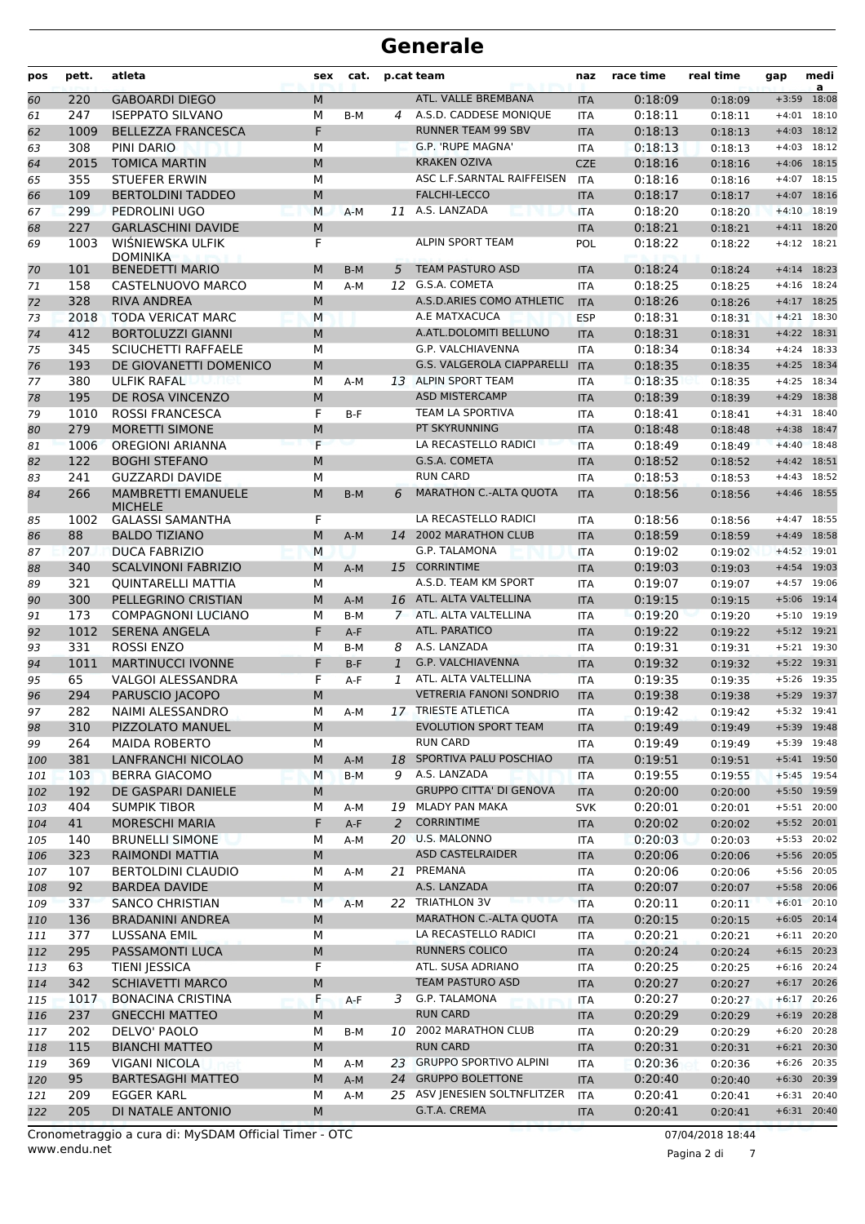| pos        | pett.       | atleta                                                 | sex       | cat.         |                | p.cat team                                   | naz                      | race time          | real time          | gap     | medi<br>a                      |
|------------|-------------|--------------------------------------------------------|-----------|--------------|----------------|----------------------------------------------|--------------------------|--------------------|--------------------|---------|--------------------------------|
| 60         | 220         | <b>GABOARDI DIEGO</b>                                  | ${\sf M}$ |              |                | ATL. VALLE BREMBANA                          | <b>ITA</b>               | 0:18:09            | 0:18:09            | $+3:59$ | 18:08                          |
| 61         | 247         | <b>ISEPPATO SILVANO</b>                                | М         | B-M          |                | 4 A.S.D. CADDESE MONIOUE                     | <b>ITA</b>               | 0:18:11            | 0:18:11            |         | $+4:01$ 18:10                  |
| 62         | 1009        | <b>BELLEZZA FRANCESCA</b>                              | F         |              |                | <b>RUNNER TEAM 99 SBV</b>                    | <b>ITA</b>               | 0:18:13            | 0:18:13            | $+4:03$ | 18:12                          |
| 63         | 308         | PINI DARIO                                             | М         |              |                | G.P. 'RUPE MAGNA'                            | ITA                      | 0:18:13            | 0:18:13            |         | $+4:03$ 18:12                  |
| 64         | 2015        | <b>TOMICA MARTIN</b>                                   | M         |              |                | <b>KRAKEN OZIVA</b>                          | <b>CZE</b>               | 0:18:16            | 0:18:16            |         | $+4:06$ 18:15                  |
| 65         | 355         | <b>STUEFER ERWIN</b>                                   | M         |              |                | ASC L.F.SARNTAL RAIFFEISEN                   | <b>ITA</b>               | 0:18:16            | 0:18:16            |         | $+4:07$ 18:15                  |
| 66         | 109         | <b>BERTOLDINI TADDEO</b>                               | M         |              |                | <b>FALCHI-LECCO</b>                          | <b>ITA</b>               | 0:18:17            | 0:18:17            | $+4:07$ | 18:16                          |
| 67         | 299         | PEDROLINI UGO                                          | M         | $A-M$        |                | 11 A.S. LANZADA                              | <b>ITA</b>               | 0:18:20            | 0:18:20            |         | $+4:10$ 18:19                  |
| 68         | 227         | <b>GARLASCHINI DAVIDE</b>                              | M         |              |                |                                              | <b>ITA</b>               | 0:18:21            | 0:18:21            |         | $+4:11$ 18:20                  |
| 69         | 1003        | WIŚNIEWSKA ULFIK<br><b>DOMINIKA</b>                    | F         |              |                | <b>ALPIN SPORT TEAM</b>                      | POL                      | 0:18:22            | 0:18:22            |         | $+4:12$ 18:21                  |
| 70         | 101         | <b>BENEDETTI MARIO</b>                                 | M         | $B-M$        | 5              | <b>TEAM PASTURO ASD</b>                      | <b>ITA</b>               | 0:18:24            | 0:18:24            |         | $+4:14$ 18:23                  |
| 71         | 158         | CASTELNUOVO MARCO                                      | M         | $A-M$        | 12             | G.S.A. COMETA                                | <b>ITA</b>               | 0:18:25            | 0:18:25            |         | $+4:16$ 18:24                  |
| 72         | 328         | <b>RIVA ANDREA</b>                                     | M         |              |                | A.S.D.ARIES COMO ATHLETIC                    | <b>ITA</b>               | 0:18:26            | 0:18:26            |         | $+4:17$ 18:25                  |
| 73         | 2018        | <b>TODA VERICAT MARC</b>                               | M         |              |                | A.E MATXACUCA                                | <b>ESP</b>               | 0:18:31            | 0:18:31            |         | $+4:21$ 18:30                  |
| 74         | 412<br>345  | <b>BORTOLUZZI GIANNI</b><br><b>SCIUCHETTI RAFFAELE</b> | M<br>M    |              |                | A.ATL.DOLOMITI BELLUNO<br>G.P. VALCHIAVENNA  | <b>ITA</b>               | 0:18:31<br>0:18:34 | 0:18:31            |         | $+4:22$ 18:31<br>$+4:24$ 18:33 |
| 75<br>76   | 193         | DE GIOVANETTI DOMENICO                                 | M         |              |                | <b>G.S. VALGEROLA CIAPPARELLI</b>            | <b>ITA</b><br><b>ITA</b> | 0:18:35            | 0:18:34<br>0:18:35 |         | $+4:25$ 18:34                  |
| 77         | 380         | <b>ULFIK RAFAL</b>                                     | M         | A-M          |                | 13 ALPIN SPORT TEAM                          | <b>ITA</b>               | 0:18:35            | 0:18:35            |         | $+4:25$ 18:34                  |
| 78         | 195         | DE ROSA VINCENZO                                       | M         |              |                | <b>ASD MISTERCAMP</b>                        | <b>ITA</b>               | 0:18:39            | 0:18:39            |         | $+4:29$ 18:38                  |
| 79         | 1010        | <b>ROSSI FRANCESCA</b>                                 | F         | B-F          |                | TEAM LA SPORTIVA                             | <b>ITA</b>               | 0:18:41            | 0:18:41            |         | $+4:31$ 18:40                  |
| 80         | 279         | <b>MORETTI SIMONE</b>                                  | M         |              |                | PT SKYRUNNING                                | <b>ITA</b>               | 0:18:48            | 0:18:48            |         | $+4:38$ 18:47                  |
| 81         | 1006        | <b>OREGIONI ARIANNA</b>                                | F         |              |                | LA RECASTELLO RADICI                         | <b>ITA</b>               | 0:18:49            | 0:18:49            |         | $+4:40$ 18:48                  |
| 82         | 122         | <b>BOGHI STEFANO</b>                                   | M         |              |                | G.S.A. COMETA                                | <b>ITA</b>               | 0:18:52            | 0:18:52            |         | $+4:42$ 18:51                  |
| 83         | 241         | <b>GUZZARDI DAVIDE</b>                                 | M         |              |                | <b>RUN CARD</b>                              | <b>ITA</b>               | 0:18:53            | 0:18:53            |         | $+4:43$ 18:52                  |
| 84         | 266         | <b>MAMBRETTI EMANUELE</b>                              | M         | $B-M$        | 6              | <b>MARATHON C.-ALTA QUOTA</b>                | <b>ITA</b>               | 0:18:56            | 0:18:56            |         | $+4:46$ 18:55                  |
|            |             | <b>MICHELE</b>                                         |           |              |                |                                              |                          |                    |                    |         |                                |
| 85         | 1002        | <b>GALASSI SAMANTHA</b>                                | F         |              |                | LA RECASTELLO RADICI                         | <b>ITA</b>               | 0:18:56            | 0:18:56            |         | $+4:47$ 18:55                  |
| 86         | 88          | <b>BALDO TIZIANO</b>                                   | M         | $A-M$        |                | 14 2002 MARATHON CLUB                        | <b>ITA</b>               | 0:18:59            | 0:18:59            |         | $+4:49$ 18:58                  |
| 87         | 207         | <b>DUCA FABRIZIO</b>                                   | M         |              |                | G.P. TALAMONA                                | <b>ITA</b>               | 0:19:02            | 0:19:02            |         | $+4:52$ 19:01                  |
| 88         | 340         | <b>SCALVINONI FABRIZIO</b>                             | M         | $A-M$        | 15             | <b>CORRINTIME</b><br>A.S.D. TEAM KM SPORT    | <b>ITA</b>               | 0:19:03            | 0:19:03            |         | $+4:54$ 19:03<br>19:06         |
| 89         | 321<br>300  | <b>QUINTARELLI MATTIA</b><br>PELLEGRINO CRISTIAN       | М<br>M    |              |                | 16 ATL. ALTA VALTELLINA                      | <b>ITA</b><br><b>ITA</b> | 0:19:07<br>0:19:15 | 0:19:07            | $+4:57$ | $+5:06$ 19:14                  |
| 90<br>91   | 173         | <b>COMPAGNONI LUCIANO</b>                              | М         | $A-M$<br>B-M |                | 7 ATL. ALTA VALTELLINA                       | <b>ITA</b>               | 0:19:20            | 0:19:15<br>0:19:20 |         | $+5:10$ 19:19                  |
| 92         | 1012        | <b>SERENA ANGELA</b>                                   | F         | A-F          |                | ATL. PARATICO                                | <b>ITA</b>               | 0:19:22            | 0:19:22            |         | $+5:12$ 19:21                  |
| 93         | 331         | <b>ROSSI ENZO</b>                                      | M         | B-M          |                | 8 A.S. LANZADA                               | <b>ITA</b>               | 0:19:31            | 0:19:31            |         | $+5:21$ 19:30                  |
| 94         | 1011        | <b>MARTINUCCI IVONNE</b>                               | F         | $B-F$        | $\mathbf{1}$   | G.P. VALCHIAVENNA                            | <b>ITA</b>               | 0:19:32            | 0:19:32            |         | $+5:22$ 19:31                  |
| 95         | 65          | VALGOI ALESSANDRA                                      | F         | $A-F$        | 1              | ATL. ALTA VALTELLINA                         | <b>ITA</b>               | 0:19:35            | 0:19:35            |         | $+5:26$ 19:35                  |
| 96         | 294         | PARUSCIO JACOPO                                        | ${\sf M}$ |              |                | <b>VETRERIA FANONI SONDRIO</b>               | <b>ITA</b>               | 0:19:38            | 0:19:38            |         | $+5:29$ 19:37                  |
| 97         | 282         | NAIMI ALESSANDRO                                       | М         | A-M          |                | 17 TRIESTE ATLETICA                          | <b>ITA</b>               | 0:19:42            | 0:19:42            |         | $+5:32$ 19:41                  |
| 98         | 310         | PIZZOLATO MANUEL                                       | M         |              |                | <b>EVOLUTION SPORT TEAM</b>                  | <b>ITA</b>               | 0:19:49            | 0:19:49            |         | +5:39 19:48                    |
| 99         | 264         | <b>MAIDA ROBERTO</b>                                   | M         |              |                | <b>RUN CARD</b>                              | <b>ITA</b>               | 0:19:49            | 0:19:49            |         | $+5:39$ 19:48                  |
| 100        | 381         | <b>LANFRANCHI NICOLAO</b>                              | M         | $A-M$        | 18             | SPORTIVA PALU POSCHIAO                       | <b>ITA</b>               | 0:19:51            | 0:19:51            |         | $+5:41$ 19:50                  |
| 101        | 103         | <b>BERRA GIACOMO</b>                                   | M         | $B-M$        | 9              | A.S. LANZADA                                 | <b>ITA</b>               | 0:19:55            | 0:19:55            |         | $+5:45$ 19:54                  |
| 102        | 192         | DE GASPARI DANIELE                                     | M         |              |                | <b>GRUPPO CITTA' DI GENOVA</b>               | <b>ITA</b>               | 0:20:00            | 0:20:00            |         | +5:50 19:59                    |
| 103        | 404         | <b>SUMPIK TIBOR</b>                                    | М         | A-M          |                | 19 MLADY PAN MAKA                            | <b>SVK</b>               | 0:20:01            | 0:20:01            |         | $+5:51$ 20:00                  |
| 104        | 41          | MORESCHI MARIA                                         | F         | A-F          | $\overline{a}$ | <b>CORRINTIME</b>                            | <b>ITA</b>               | 0:20:02            | 0:20:02            |         | $+5:52$ 20:01                  |
| 105        | 140         | <b>BRUNELLI SIMONE</b>                                 | М         | A-M          |                | 20 U.S. MALONNO                              | <b>ITA</b>               | 0:20:03            | 0:20:03            |         | $+5:53$ 20:02                  |
| 106        | 323         | RAIMONDI MATTIA                                        | M         |              |                | <b>ASD CASTELRAIDER</b>                      | <b>ITA</b>               | 0:20:06            | 0:20:06            |         | +5:56 20:05                    |
| 107        | 107         | <b>BERTOLDINI CLAUDIO</b>                              | М         | A-M          | 21             | PREMANA                                      | ITA                      | 0:20:06            | 0:20:06            |         | $+5:56$ 20:05                  |
| 108        | 92          | <b>BARDEA DAVIDE</b>                                   | М         |              |                | A.S. LANZADA                                 | <b>ITA</b>               | 0:20:07            | 0:20:07            |         | +5:58 20:06                    |
| 109        | 337         | <b>SANCO CHRISTIAN</b>                                 | M         | A-M          |                | 22 TRIATHLON 3V                              | <b>ITA</b>               | 0:20:11            | 0:20:11            |         | $+6:01$ 20:10                  |
| 110        | 136         | <b>BRADANINI ANDREA</b>                                | ${\sf M}$ |              |                | MARATHON C.-ALTA QUOTA                       | <b>ITA</b>               | 0:20:15            | 0:20:15            |         | $+6:05$ 20:14                  |
| 111        | 377         | LUSSANA EMIL                                           | М         |              |                | LA RECASTELLO RADICI                         | <b>ITA</b>               | 0:20:21            | 0:20:21            |         | $+6:11$ 20:20                  |
| 112        | 295         | PASSAMONTI LUCA                                        | M         |              |                | <b>RUNNERS COLICO</b>                        | <b>ITA</b>               | 0:20:24            | 0:20:24            |         | $+6:15$ 20:23                  |
| 113        | 63          | <b>TIENI JESSICA</b>                                   | F         |              |                | ATL. SUSA ADRIANO<br><b>TEAM PASTURO ASD</b> | ITA                      | 0:20:25            | 0:20:25            |         | $+6:16$ 20:24                  |
| 114        | 342         | <b>SCHIAVETTI MARCO</b><br><b>BONACINA CRISTINA</b>    | М         |              |                | G.P. TALAMONA                                | <b>ITA</b>               | 0:20:27            | 0:20:27            |         | $+6:17$ 20:26<br>$+6:17$ 20:26 |
| 115        | 1017<br>237 | <b>GNECCHI MATTEO</b>                                  | F<br>М    | A-F          | 3              | <b>RUN CARD</b>                              | ITA                      | 0:20:27<br>0:20:29 | 0:20:27            |         | $+6:19$ 20:28                  |
| 116<br>117 | 202         | DELVO' PAOLO                                           | М         | B-M          |                | 10 2002 MARATHON CLUB                        | <b>ITA</b><br><b>ITA</b> | 0:20:29            | 0:20:29<br>0:20:29 |         | $+6:20$ 20:28                  |
| 118        | 115         | <b>BIANCHI MATTEO</b>                                  | M         |              |                | <b>RUN CARD</b>                              | <b>ITA</b>               | 0:20:31            | 0:20:31            |         | $+6:21$ 20:30                  |
| 119        | 369         | <b>VIGANI NICOLA</b>                                   | М         | A-M          |                | 23 GRUPPO SPORTIVO ALPINI                    | ITA                      | 0:20:36            | 0:20:36            |         | $+6:26$ 20:35                  |
| 120        | 95          | <b>BARTESAGHI MATTEO</b>                               | M         | A-M          | 24             | <b>GRUPPO BOLETTONE</b>                      | <b>ITA</b>               | 0:20:40            | 0:20:40            |         | $+6:30$ 20:39                  |
| 121        | 209         | <b>EGGER KARL</b>                                      | М         | A-M          |                | 25 ASV JENESIEN SOLTNFLITZER                 | <b>ITA</b>               | 0:20:41            | 0:20:41            |         | $+6:31$ 20:40                  |
| 122        | 205         | DI NATALE ANTONIO                                      | М         |              |                | G.T.A. CREMA                                 | <b>ITA</b>               | 0:20:41            | 0:20:41            |         | $+6:31$ 20:40                  |
|            |             |                                                        |           |              |                |                                              |                          |                    |                    |         |                                |

www.endu.net Cronometraggio a cura di: MySDAM Official Timer - OTC 07/04/2018 18:44

Pagina 2 di 7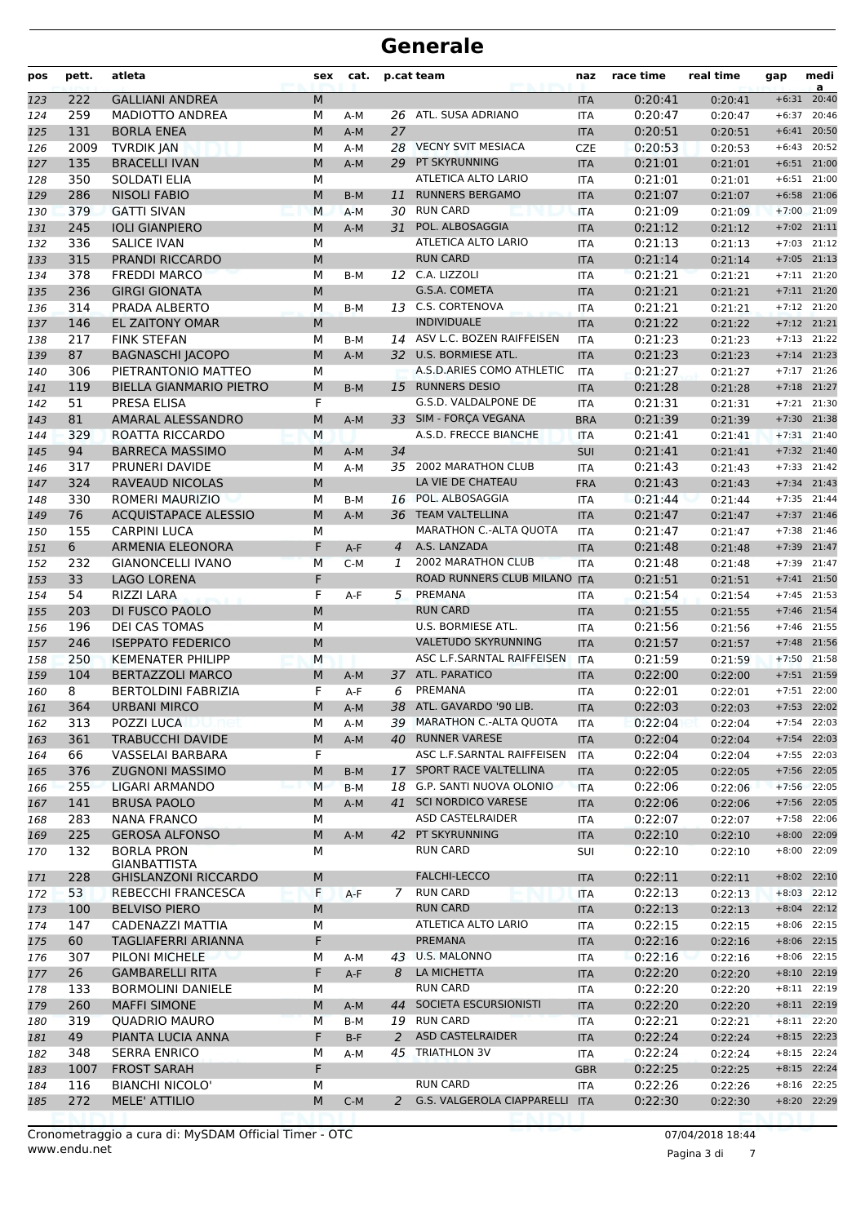| pos        | pett.       | atleta                                     | sex            | cat.         |                | p.cat team                                     | naz                      | race time          | real time          | gap     | medi<br>a                      |
|------------|-------------|--------------------------------------------|----------------|--------------|----------------|------------------------------------------------|--------------------------|--------------------|--------------------|---------|--------------------------------|
| 123        | 222         | <b>GALLIANI ANDREA</b>                     | ${\sf M}$      |              |                |                                                | <b>ITA</b>               | 0:20:41            | 0:20:41            | $+6:31$ | 20:40                          |
| 124        | 259         | MADIOTTO ANDREA                            | М              | A-M          |                | 26 ATL. SUSA ADRIANO                           | <b>ITA</b>               | 0:20:47            | 0:20:47            | $+6:37$ | 20:46                          |
| 125        | 131         | <b>BORLA ENEA</b>                          | M              | $A-M$        | 27             |                                                | <b>ITA</b>               | 0:20:51            | 0:20:51            | $+6:41$ | 20:50                          |
| 126        | 2009        | <b>TVRDIK JAN</b>                          | M              | $A-M$        | 28             | <b>VECNY SVIT MESIACA</b>                      | <b>CZE</b>               | 0:20:53            | 0:20:53            |         | $+6:43$ 20:52                  |
| 127        | 135         | <b>BRACELLI IVAN</b>                       | ${\sf M}$      | $A-M$        | 29             | PT SKYRUNNING                                  | <b>ITA</b>               | 0:21:01            | 0:21:01            |         | $+6:51$ 21:00                  |
| 128        | 350         | <b>SOLDATI ELIA</b>                        | М              |              |                | ATLETICA ALTO LARIO                            | <b>ITA</b>               | 0:21:01            | 0:21:01            |         | $+6:51$ 21:00                  |
| 129        | 286         | <b>NISOLI FABIO</b>                        | ${\sf M}$      | $B-M$        | 11             | <b>RUNNERS BERGAMO</b>                         | <b>ITA</b>               | 0:21:07            | 0:21:07            |         | $+6:58$ 21:06                  |
| 130        | 379         | <b>GATTI SIVAN</b>                         | M              | $A-M$        |                | 30 RUN CARD                                    | <b>ITA</b>               | 0:21:09            | 0:21:09            |         | $+7:00$ 21:09                  |
| 131        | 245         | <b>IOLI GIANPIERO</b>                      | M              | $A-M$        | 31             | POL. ALBOSAGGIA                                | <b>ITA</b>               | 0:21:12            | 0:21:12            |         | $+7:02$ 21:11                  |
| 132        | 336         | <b>SALICE IVAN</b>                         | M              |              |                | ATLETICA ALTO LARIO<br><b>RUN CARD</b>         | <b>ITA</b>               | 0:21:13            | 0:21:13            |         | $+7:03$ 21:12<br>$+7:05$ 21:13 |
| 133        | 315<br>378  | PRANDI RICCARDO<br><b>FREDDI MARCO</b>     | ${\sf M}$<br>М | $B-M$        |                | 12 C.A. LIZZOLI                                | <b>ITA</b>               | 0:21:14<br>0:21:21 | 0:21:14            |         | $+7:11$ 21:20                  |
| 134<br>135 | 236         | <b>GIRGI GIONATA</b>                       | ${\sf M}$      |              |                | G.S.A. COMETA                                  | <b>ITA</b><br><b>ITA</b> | 0:21:21            | 0:21:21<br>0:21:21 |         | $+7:11$ 21:20                  |
| 136        | 314         | PRADA ALBERTO                              | M              | $B-M$        |                | 13 C.S. CORTENOVA                              | <b>ITA</b>               | 0:21:21            | 0:21:21            |         | $+7:12$ 21:20                  |
| 137        | 146         | <b>EL ZAITONY OMAR</b>                     | M              |              |                | <b>INDIVIDUALE</b>                             | <b>ITA</b>               | 0:21:22            | 0:21:22            |         | $+7:12$ 21:21                  |
| 138        | 217         | <b>FINK STEFAN</b>                         | M              | B-M          |                | 14 ASV L.C. BOZEN RAIFFEISEN                   | <b>ITA</b>               | 0:21:23            | 0:21:23            |         | $+7:13$ 21:22                  |
| 139        | 87          | <b>BAGNASCHI JACOPO</b>                    | ${\sf M}$      | $A-M$        | 32             | <b>U.S. BORMIESE ATL.</b>                      | <b>ITA</b>               | 0:21:23            | 0:21:23            |         | $+7:14$ 21:23                  |
| 140        | 306         | PIETRANTONIO MATTEO                        | М              |              |                | A.S.D.ARIES COMO ATHLETIC                      | <b>ITA</b>               | 0:21:27            | 0:21:27            |         | $+7:17$ 21:26                  |
| 141        | 119         | <b>BIELLA GIANMARIO PIETRO</b>             | M              | $B-M$        |                | 15 RUNNERS DESIO                               | <b>ITA</b>               | 0:21:28            | 0:21:28            |         | $+7:18$ 21:27                  |
| 142        | 51          | PRESA ELISA                                | F              |              |                | G.S.D. VALDALPONE DE                           | <b>ITA</b>               | 0:21:31            | 0:21:31            |         | $+7:21$ 21:30                  |
| 143        | 81          | AMARAL ALESSANDRO                          | M              | $A-M$        |                | 33 SIM - FORÇA VEGANA                          | <b>BRA</b>               | 0:21:39            | 0:21:39            | $+7:30$ | 21:38                          |
| 144        | 329         | ROATTA RICCARDO                            | M              |              |                | A.S.D. FRECCE BIANCHE                          | <b>ITA</b>               | 0:21:41            | 0:21:41            |         | $+7:31$ 21:40                  |
| 145        | 94          | <b>BARRECA MASSIMO</b>                     | M              | $A-M$        | 34             |                                                | <b>SUI</b>               | 0:21:41            | 0:21:41            |         | $+7:32$ 21:40                  |
| 146        | 317         | PRUNERI DAVIDE                             | M              | $A-M$        |                | 35 2002 MARATHON CLUB                          | <b>ITA</b>               | 0:21:43            | 0:21:43            |         | $+7:33$ 21:42                  |
| 147        | 324         | <b>RAVEAUD NICOLAS</b>                     | ${\sf M}$      |              |                | LA VIE DE CHATEAU                              | <b>FRA</b>               | 0:21:43            | 0:21:43            |         | $+7:34$ 21:43                  |
| 148        | 330         | ROMERI MAURIZIO                            | М              | B-M          |                | 16 POL. ALBOSAGGIA                             | <b>ITA</b>               | 0:21:44            | 0:21:44            |         | $+7:35$ 21:44                  |
| 149        | 76          | <b>ACQUISTAPACE ALESSIO</b>                | M              | $A-M$        |                | 36 TEAM VALTELLINA                             | <b>ITA</b>               | 0:21:47            | 0:21:47            | $+7:37$ | 21:46                          |
| 150        | 155         | <b>CARPINI LUCA</b>                        | M              |              |                | MARATHON C.-ALTA QUOTA                         | <b>ITA</b>               | 0:21:47            | 0:21:47            | $+7:38$ | 21:46                          |
| 151        | 6           | <b>ARMENIA ELEONORA</b>                    | F              | A-F          | $\overline{4}$ | A.S. LANZADA                                   | <b>ITA</b>               | 0:21:48            | 0:21:48            |         | $+7:39$ 21:47                  |
| 152        | 232         | <b>GIANONCELLI IVANO</b>                   | M              | $C-M$        | $\mathbf{1}$   | <b>2002 MARATHON CLUB</b>                      | <b>ITA</b>               | 0:21:48            | 0:21:48            |         | $+7:39$ 21:47                  |
| 153        | 33          | <b>LAGO LORENA</b>                         | F              |              |                | ROAD RUNNERS CLUB MILANO ITA                   |                          | 0:21:51            | 0:21:51            | $+7:41$ | 21:50                          |
| 154        | 54          | <b>RIZZI LARA</b>                          | F              | A-F          | 5              | PREMANA                                        | <b>ITA</b>               | 0:21:54            | 0:21:54            |         | $+7:45$ 21:53                  |
| 155        | 203         | DI FUSCO PAOLO                             | M              |              |                | <b>RUN CARD</b>                                | <b>ITA</b>               | 0:21:55            | 0:21:55            | $+7:46$ | 21:54                          |
| 156        | 196         | <b>DEI CAS TOMAS</b>                       | M              |              |                | U.S. BORMIESE ATL.                             | <b>ITA</b>               | 0:21:56            | 0:21:56            | $+7:46$ | 21:55                          |
| 157        | 246         | <b>ISEPPATO FEDERICO</b>                   | ${\sf M}$      |              |                | <b>VALETUDO SKYRUNNING</b>                     | <b>ITA</b>               | 0:21:57            | 0:21:57            |         | $+7:48$ 21:56                  |
| 158        | 250         | <b>KEMENATER PHILIPP</b>                   | M              |              |                | ASC L.F.SARNTAL RAIFFEISEN                     | <b>ITA</b>               | 0:21:59            | 0:21:59            |         | $+7:50$ 21:58                  |
| 159        | 104         | <b>BERTAZZOLI MARCO</b>                    | M              | $A-M$        | 37             | ATL. PARATICO                                  | <b>ITA</b>               | 0:22:00            | 0:22:00            | $+7:51$ | 21:59                          |
| 160        | 8           | <b>BERTOLDINI FABRIZIA</b>                 | F              | A-F          | 6              | PREMANA                                        | <b>ITA</b>               | 0:22:01            | 0:22:01            | $+7:51$ | 22:00                          |
| 161        | 364         | <b>URBANI MIRCO</b>                        | M              | $A-M$        |                | 38 ATL. GAVARDO '90 LIB.                       | <b>ITA</b>               | 0:22:03            | 0:22:03            |         | $+7:53$ 22:02                  |
| 162        | 313         | POZZI LUCA                                 | м              | A-M          |                | 39 MARATHON C .- ALTA QUOTA                    | ITA                      | 0:22:04            | 0:22:04            |         | $+7:54$ 22:03                  |
| 163        | 361         | <b>TRABUCCHI DAVIDE</b>                    | M<br>F         | $A-M$        |                | 40 RUNNER VARESE<br>ASC L.F.SARNTAL RAIFFEISEN | <b>ITA</b>               | 0:22:04            | 0:22:04            |         | $+7:54$ 22:03<br>$+7:55$ 22:03 |
| 164        | 66<br>376   | VASSELAI BARBARA<br><b>ZUGNONI MASSIMO</b> | M              |              |                | 17 SPORT RACE VALTELLINA                       | <b>ITA</b><br><b>ITA</b> | 0:22:04            | 0:22:04<br>0:22:05 |         | $+7:56$ 22:05                  |
| 165<br>166 | 255         | LIGARI ARMANDO                             | M              | B-M<br>$B-M$ |                | 18 G.P. SANTI NUOVA OLONIO                     | <b>ITA</b>               | 0:22:05<br>0:22:06 | 0:22:06            |         | $+7:56$ 22:05                  |
| 167        | 141         | <b>BRUSA PAOLO</b>                         | M              | $A-M$        | 41             | <b>SCI NORDICO VARESE</b>                      | <b>ITA</b>               | 0:22:06            | 0:22:06            |         | $+7:56$ 22:05                  |
| 168        | 283         | <b>NANA FRANCO</b>                         | М              |              |                | ASD CASTELRAIDER                               | ITA                      | 0:22:07            | 0:22:07            |         | $+7:58$ 22:06                  |
| 169        | 225         | <b>GEROSA ALFONSO</b>                      | M              | $A-M$        | 42             | PT SKYRUNNING                                  | <b>ITA</b>               | 0:22:10            | 0:22:10            |         | $+8:00$ 22:09                  |
| 170        | 132         | <b>BORLA PRON</b>                          | М              |              |                | <b>RUN CARD</b>                                | SUI                      | 0:22:10            | 0:22:10            |         | $+8:00$ 22:09                  |
|            |             | GIANBATTISTA                               |                |              |                |                                                |                          |                    |                    |         |                                |
| 171        | 228         | <b>GHISLANZONI RICCARDO</b>                | M              |              |                | <b>FALCHI-LECCO</b>                            | <b>ITA</b>               | 0:22:11            | 0:22:11            |         | $+8:02$ 22:10                  |
| 172        | 53          | REBECCHI FRANCESCA                         | F              | A-F          | 7              | <b>RUN CARD</b>                                | <b>ITA</b>               | 0:22:13            | 0:22:13            |         | $+8:03$ 22:12                  |
| 173        | 100         | <b>BELVISO PIERO</b>                       | M              |              |                | <b>RUN CARD</b>                                | <b>ITA</b>               | 0:22:13            | 0:22:13            |         | $+8:04$ 22:12                  |
| 174        | 147         | CADENAZZI MATTIA                           | М              |              |                | ATLETICA ALTO LARIO                            | ITA                      | 0:22:15            | 0:22:15            |         | $+8:06$ 22:15                  |
| 175        | 60          | TAGLIAFERRI ARIANNA                        | F              |              |                | PREMANA                                        | <b>ITA</b>               | 0:22:16            | 0:22:16            |         | $+8:06$ 22:15                  |
| 176        | 307         | PILONI MICHELE                             | М              | A-M          |                | 43 U.S. MALONNO                                | ITA                      | 0:22:16            | 0:22:16            |         | $+8:06$ 22:15                  |
| 177        | 26          | <b>GAMBARELLI RITA</b>                     | F              | A-F          | 8              | LA MICHETTA                                    | <b>ITA</b>               | 0:22:20            | 0:22:20            |         | $+8:10$ 22:19                  |
| 178        | 133         | <b>BORMOLINI DANIELE</b>                   | М              |              |                | <b>RUN CARD</b>                                | ITA                      | 0:22:20            | 0:22:20            |         | $+8:11$ 22:19                  |
| 179        | 260         | <b>MAFFI SIMONE</b>                        | М              | $A-M$        |                | 44 SOCIETA ESCURSIONISTI                       | <b>ITA</b>               | 0:22:20            | 0:22:20            |         | $+8:11$ 22:19                  |
| 180        | 319         | <b>QUADRIO MAURO</b>                       | М              | $B-M$        |                | 19 RUN CARD                                    | ITA                      | 0:22:21            | 0:22:21            |         | $+8:11$ 22:20                  |
| 181        | 49          | PIANTA LUCIA ANNA                          | F              | $B-F$        | 2              | <b>ASD CASTELRAIDER</b><br>45 TRIATHLON 3V     | <b>ITA</b>               | 0:22:24            | 0:22:24            |         | $+8:15$ 22:23                  |
| 182        | 348<br>1007 | <b>SERRA ENRICO</b><br><b>FROST SARAH</b>  | М<br>F         | $A-M$        |                |                                                | ITA<br><b>GBR</b>        | 0:22:24<br>0:22:25 | 0:22:24<br>0:22:25 |         | $+8:15$ 22:24<br>$+8:15$ 22:24 |
| 183<br>184 | 116         | <b>BIANCHI NICOLO'</b>                     | М              |              |                | <b>RUN CARD</b>                                | ITA                      | 0:22:26            | 0:22:26            |         | $+8:16$ 22:25                  |
| 185        | 272         | MELE' ATTILIO                              | M              | $C-M$        | 2              | G.S. VALGEROLA CIAPPARELLI                     | <b>ITA</b>               | 0:22:30            | 0:22:30            |         | +8:20 22:29                    |
|            |             |                                            |                |              |                |                                                |                          |                    |                    |         |                                |

Pagina 3 di 7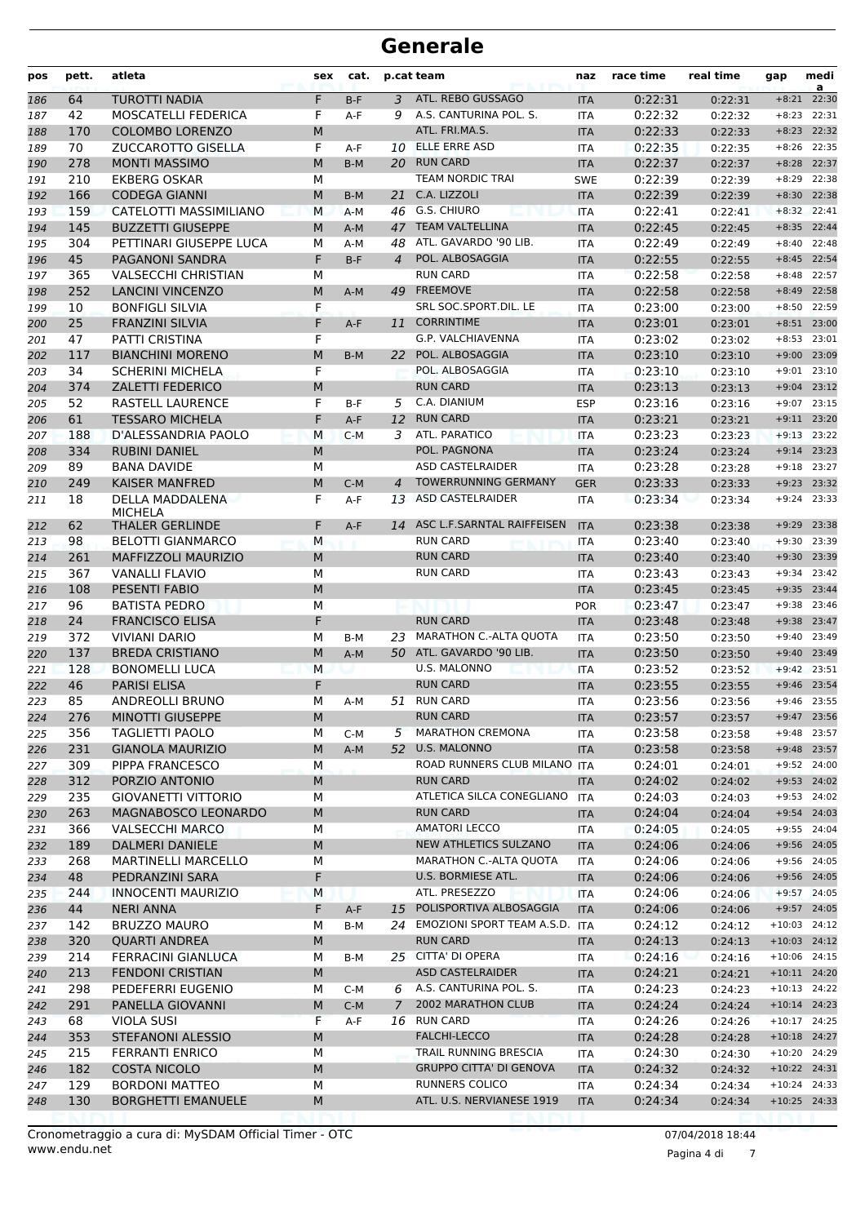| pos        | pett.      | atleta                                               | sex            | cat.           |                      | p.cat team                                  | naz                         | race time          | real time          | gap                | medi<br>a                      |
|------------|------------|------------------------------------------------------|----------------|----------------|----------------------|---------------------------------------------|-----------------------------|--------------------|--------------------|--------------------|--------------------------------|
| 186        | 64         | <b>TUROTTI NADIA</b>                                 | F              | $B-F$          | 3                    | ATL. REBO GUSSAGO                           | <b>ITA</b>                  | 0:22:31            | 0:22:31            | $+8:21$            | 22:30                          |
| 187        | 42         | MOSCATELLI FEDERICA                                  | F              | $A-F$          | 9                    | A.S. CANTURINA POL. S.                      | <b>ITA</b>                  | 0:22:32            | 0:22:32            | $+8:23$            | 22:31                          |
| 188        | 170        | <b>COLOMBO LORENZO</b>                               | M              |                |                      | ATL. FRI.MA.S.                              | <b>ITA</b>                  | 0:22:33            | 0:22:33            | $+8:23$            | 22:32                          |
| 189        | 70         | <b>ZUCCAROTTO GISELLA</b>                            | F              | A-F            |                      | 10 ELLE ERRE ASD                            | ITA                         | 0:22:35            | 0:22:35            | $+8:26$            | 22:35                          |
| 190        | 278        | <b>MONTI MASSIMO</b>                                 | M              | $B-M$          | 20                   | <b>RUN CARD</b>                             | <b>ITA</b>                  | 0:22:37            | 0:22:37            | $+8:28$            | 22:37                          |
| 191        | 210        | <b>EKBERG OSKAR</b>                                  | М              |                |                      | <b>TEAM NORDIC TRAI</b>                     | <b>SWE</b>                  | 0:22:39            | 0:22:39            | $+8:29$            | 22:38                          |
| 192        | 166        | <b>CODEGA GIANNI</b>                                 | M              | $B-M$          | 21                   | C.A. LIZZOLI                                | <b>ITA</b>                  | 0:22:39            | 0:22:39            | $+8:30$            | 22:38                          |
| 193        | 159        | CATELOTTI MASSIMILIANO                               | M              | $A-M$          |                      | 46 G.S. CHIURO                              | <b>ITA</b>                  | 0:22:41            | 0:22:41            | $+8:32$ 22:41      |                                |
| 194        | 145        | <b>BUZZETTI GIUSEPPE</b>                             | M              | $A-M$          | 47                   | <b>TEAM VALTELLINA</b>                      | <b>ITA</b>                  | 0:22:45            | 0:22:45            | $+8:35$            | 22:44                          |
| 195        | 304        | PETTINARI GIUSEPPE LUCA                              | М<br>F         | A-M            | 48<br>$\overline{4}$ | ATL. GAVARDO '90 LIB.<br>POL. ALBOSAGGIA    | ITA                         | 0:22:49            | 0:22:49            | $+8:40$            | 22:48                          |
| 196<br>197 | 45<br>365  | <b>PAGANONI SANDRA</b><br><b>VALSECCHI CHRISTIAN</b> | М              | $B-F$          |                      | <b>RUN CARD</b>                             | <b>ITA</b><br><b>ITA</b>    | 0:22:55<br>0:22:58 | 0:22:55<br>0:22:58 | $+8:45$<br>$+8:48$ | 22:54<br>22:57                 |
| 198        | 252        | <b>LANCINI VINCENZO</b>                              | M              | $A-M$          | 49                   | <b>FREEMOVE</b>                             | <b>ITA</b>                  | 0:22:58            | 0:22:58            | $+8:49$            | 22:58                          |
| 199        | 10         | <b>BONFIGLI SILVIA</b>                               | F              |                |                      | SRL SOC.SPORT.DIL. LE                       | <b>ITA</b>                  | 0:23:00            | 0:23:00            | $+8:50$            | 22:59                          |
| 200        | 25         | <b>FRANZINI SILVIA</b>                               | F              | $A-F$          |                      | 11 CORRINTIME                               | <b>ITA</b>                  | 0:23:01            | 0:23:01            | $+8:51$            | 23:00                          |
| 201        | 47         | PATTI CRISTINA                                       | F              |                |                      | G.P. VALCHIAVENNA                           | ITA                         | 0:23:02            | 0:23:02            | $+8:53$            | 23:01                          |
| 202        | 117        | <b>BIANCHINI MORENO</b>                              | M              | $B-M$          | 22                   | POL. ALBOSAGGIA                             | <b>ITA</b>                  | 0:23:10            | 0:23:10            | $+9:00$            | 23:09                          |
| 203        | 34         | <b>SCHERINI MICHELA</b>                              | F              |                |                      | POL. ALBOSAGGIA                             | <b>ITA</b>                  | 0:23:10            | 0:23:10            | $+9:01$            | 23:10                          |
| 204        | 374        | <b>ZALETTI FEDERICO</b>                              | M              |                |                      | <b>RUN CARD</b>                             | <b>ITA</b>                  | 0:23:13            | 0:23:13            | $+9:04$            | 23:12                          |
| 205        | 52         | <b>RASTELL LAURENCE</b>                              | F              | $B-F$          | 5                    | C.A. DIANIUM                                | <b>ESP</b>                  | 0:23:16            | 0:23:16            | $+9:07$            | 23:15                          |
| 206        | 61         | <b>TESSARO MICHELA</b>                               | F.             | $A-F$          | 12                   | <b>RUN CARD</b>                             | <b>ITA</b>                  | 0:23:21            | 0:23:21            | $+9:11$            | 23:20                          |
| 207        | 188        | D'ALESSANDRIA PAOLO                                  | M              | $C-M$          | 3                    | ATL. PARATICO                               | <b>ITA</b>                  | 0:23:23            | 0:23:23            |                    | $+9:13$ 23:22                  |
| 208        | 334        | <b>RUBINI DANIEL</b>                                 | M              |                |                      | POL. PAGNONA                                | <b>ITA</b>                  | 0:23:24            | 0:23:24            | $+9:14$            | 23:23                          |
| 209        | 89         | <b>BANA DAVIDE</b>                                   | М              |                |                      | <b>ASD CASTELRAIDER</b>                     | <b>ITA</b>                  | 0:23:28            | 0:23:28            | $+9:18$            | 23:27                          |
| 210        | 249        | <b>KAISER MANFRED</b>                                | M              | $C-M$          | $\overline{4}$       | <b>TOWERRUNNING GERMANY</b>                 | <b>GER</b>                  | 0:23:33            | 0:23:33            | $+9:23$            | 23:32                          |
| 211        | 18         | DELLA MADDALENA<br><b>MICHELA</b>                    | F              | $A-F$          |                      | 13 ASD CASTELRAIDER                         | <b>ITA</b>                  | 0:23:34            | 0:23:34            | $+9:24$            | 23:33                          |
| 212        | 62         | <b>THALER GERLINDE</b>                               | F.             | $A-F$          |                      | 14 ASC L.F.SARNTAL RAIFFEISEN               | <b>ITA</b>                  | 0:23:38            | 0:23:38            | $+9:29$            | 23:38                          |
| 213        | 98         | <b>BELOTTI GIANMARCO</b>                             | M              |                |                      | <b>RUN CARD</b>                             | ITA                         | 0:23:40            | 0:23:40            | $+9:30$            | 23:39                          |
| 214        | 261        | MAFFIZZOLI MAURIZIO                                  | M              |                |                      | <b>RUN CARD</b>                             | <b>ITA</b>                  | 0:23:40            | 0:23:40            | $+9:30$            | 23:39                          |
| 215        | 367        | <b>VANALLI FLAVIO</b>                                | М              |                |                      | <b>RUN CARD</b>                             | ITA                         | 0:23:43            | 0:23:43            | $+9:34$            | 23:42                          |
| 216        | 108        | PESENTI FABIO                                        | M              |                |                      |                                             | <b>ITA</b>                  | 0:23:45            | 0:23:45            | $+9:35$            | 23:44                          |
| 217        | 96         | <b>BATISTA PEDRO</b>                                 | М              |                |                      |                                             | <b>POR</b>                  | 0:23:47            | 0:23:47            | $+9:38$            | 23:46                          |
| 218        | 24         | <b>FRANCISCO ELISA</b>                               | F              |                |                      | <b>RUN CARD</b>                             | <b>ITA</b>                  | 0:23:48            | 0:23:48            | $+9:38$            | 23:47                          |
| 219        | 372        | <b>VIVIANI DARIO</b>                                 | М              | B-M            |                      | 23 MARATHON C.-ALTA QUOTA                   | <b>ITA</b>                  | 0:23:50            | 0:23:50            | $+9:40$            | 23:49                          |
| 220        | 137        | <b>BREDA CRISTIANO</b>                               | M              | $A-M$          | 50                   | ATL. GAVARDO '90 LIB.                       | <b>ITA</b>                  | 0:23:50            | 0:23:50            | $+9:40$            | 23:49                          |
| 221        | 128        | <b>BONOMELLI LUCA</b>                                | M              |                |                      | <b>U.S. MALONNO</b>                         | <b>ITA</b>                  | 0:23:52            | 0:23:52            |                    | $+9:42$ 23:51                  |
| 222        | 46         | <b>PARISI ELISA</b>                                  | F              |                |                      | <b>RUN CARD</b><br>51 RUN CARD              | <b>ITA</b>                  | 0:23:55            | 0:23:55            |                    | +9:46 23:54                    |
| 223        | 85<br>276  | <b>ANDREOLLI BRUNO</b><br>MINOTTI GIUSEPPE           | М<br>${\sf M}$ | A-M            |                      | <b>RUN CARD</b>                             | <b>ITA</b>                  | 0:23:56<br>0:23:57 | 0:23:56            |                    | $+9:46$ 23:55<br>$+9:47$ 23:56 |
| 224        |            | <b>TAGLIETTI PAOLO</b>                               |                |                |                      | 5 MARATHON CREMONA                          | $\ensuremath{\mathsf{ITA}}$ |                    | 0:23:57            |                    | $+9:48$ 23:57                  |
| 225<br>226 | 356<br>231 | <b>GIANOLA MAURIZIO</b>                              | м<br>M         | $C-M$<br>$A-M$ | 52                   | U.S. MALONNO                                | ITA<br><b>ITA</b>           | 0:23:58<br>0:23:58 | 0:23:58<br>0:23:58 |                    | $+9:48$ 23:57                  |
| 227        | 309        | PIPPA FRANCESCO                                      | M              |                |                      | ROAD RUNNERS CLUB MILANO ITA                |                             | 0:24:01            | 0:24:01            |                    | $+9:52$ 24:00                  |
| 228        | 312        | PORZIO ANTONIO                                       | M              |                |                      | <b>RUN CARD</b>                             | <b>ITA</b>                  | 0:24:02            | 0:24:02            |                    | +9:53 24:02                    |
| 229        | 235        | <b>GIOVANETTI VITTORIO</b>                           | М              |                |                      | ATLETICA SILCA CONEGLIANO                   | ITA                         | 0:24:03            | 0:24:03            |                    | +9:53 24:02                    |
| 230        | 263        | MAGNABOSCO LEONARDO                                  | M              |                |                      | <b>RUN CARD</b>                             | <b>ITA</b>                  | 0:24:04            | 0:24:04            | $+9:54$            | 24:03                          |
| 231        | 366        | <b>VALSECCHI MARCO</b>                               | М              |                |                      | <b>AMATORI LECCO</b>                        | <b>ITA</b>                  | 0:24:05            | 0:24:05            |                    | $+9:55$ 24:04                  |
| 232        | 189        | <b>DALMERI DANIELE</b>                               | M              |                |                      | <b>NEW ATHLETICS SULZANO</b>                | <b>ITA</b>                  | 0:24:06            | 0:24:06            |                    | +9:56 24:05                    |
| 233        | 268        | <b>MARTINELLI MARCELLO</b>                           | М              |                |                      | MARATHON C.-ALTA QUOTA                      | ITA                         | 0:24:06            | 0:24:06            |                    | $+9:56$ 24:05                  |
| 234        | 48         | PEDRANZINI SARA                                      | F              |                |                      | U.S. BORMIESE ATL.                          | <b>ITA</b>                  | 0:24:06            | 0:24:06            |                    | +9:56 24:05                    |
| 235        | 244        | <b>INNOCENTI MAURIZIO</b>                            | M              |                |                      | ATL. PRESEZZO                               | <b>ITA</b>                  | 0:24:06            | 0:24:06            |                    | $+9:57$ 24:05                  |
| 236        | 44         | <b>NERI ANNA</b>                                     | F              | A-F            |                      | 15 POLISPORTIVA ALBOSAGGIA                  | <b>ITA</b>                  | 0:24:06            | 0:24:06            |                    | $+9:57$ 24:05                  |
| 237        | 142        | <b>BRUZZO MAURO</b>                                  | М              | B-M            |                      | 24 EMOZIONI SPORT TEAM A.S.D.               | <b>ITA</b>                  | 0:24:12            | 0:24:12            | $+10:03$ 24:12     |                                |
| 238        | 320        | <b>QUARTI ANDREA</b>                                 | M              |                |                      | <b>RUN CARD</b>                             | <b>ITA</b>                  | 0:24:13            | 0:24:13            | $+10:03$ 24:12     |                                |
| 239        | 214        | FERRACINI GIANLUCA                                   | М              | B-M            |                      | 25 CITTA' DI OPERA                          | ITA                         | 0:24:16            | 0:24:16            | $+10:06$ 24:15     |                                |
| 240        | 213        | <b>FENDONI CRISTIAN</b>                              | M              |                |                      | ASD CASTELRAIDER                            | <b>ITA</b>                  | 0:24:21            | 0:24:21            | $+10:11$ 24:20     |                                |
| 241        | 298        | PEDEFERRI EUGENIO                                    | М              | C-M            | 6                    | A.S. CANTURINA POL. S.                      | <b>ITA</b>                  | 0:24:23            | 0:24:23            | $+10:13$ 24:22     |                                |
| 242        | 291        | PANELLA GIOVANNI                                     | M              | $C-M$          | $\mathcal{I}$        | 2002 MARATHON CLUB                          | <b>ITA</b>                  | 0:24:24            | 0:24:24            | $+10:14$ 24:23     |                                |
| 243        | 68         | <b>VIOLA SUSI</b>                                    | F              | A-F            |                      | 16 RUN CARD                                 | <b>ITA</b>                  | 0:24:26            | 0:24:26            | $+10:17$ 24:25     |                                |
| 244        | 353        | STEFANONI ALESSIO                                    | M              |                |                      | <b>FALCHI-LECCO</b>                         | <b>ITA</b>                  | 0:24:28            | 0:24:28            | $+10:18$ 24:27     |                                |
| 245        | 215        | FERRANTI ENRICO                                      | М              |                |                      | TRAIL RUNNING BRESCIA                       | ITA                         | 0:24:30            | 0:24:30            | $+10:20$ 24:29     |                                |
| 246        | 182        | <b>COSTA NICOLO</b>                                  | M              |                |                      | <b>GRUPPO CITTA' DI GENOVA</b>              | <b>ITA</b>                  | 0:24:32            | 0:24:32            | $+10:22$ 24:31     |                                |
| 247        | 129        | <b>BORDONI MATTEO</b>                                | М              |                |                      | RUNNERS COLICO<br>ATL. U.S. NERVIANESE 1919 | <b>ITA</b>                  | 0:24:34            | 0:24:34            | $+10:24$ 24:33     |                                |
| 248        | 130        | <b>BORGHETTI EMANUELE</b>                            | M              |                |                      |                                             | <b>ITA</b>                  | 0:24:34            | 0:24:34            | $+10:25$ 24:33     |                                |

Pagina 4 di 7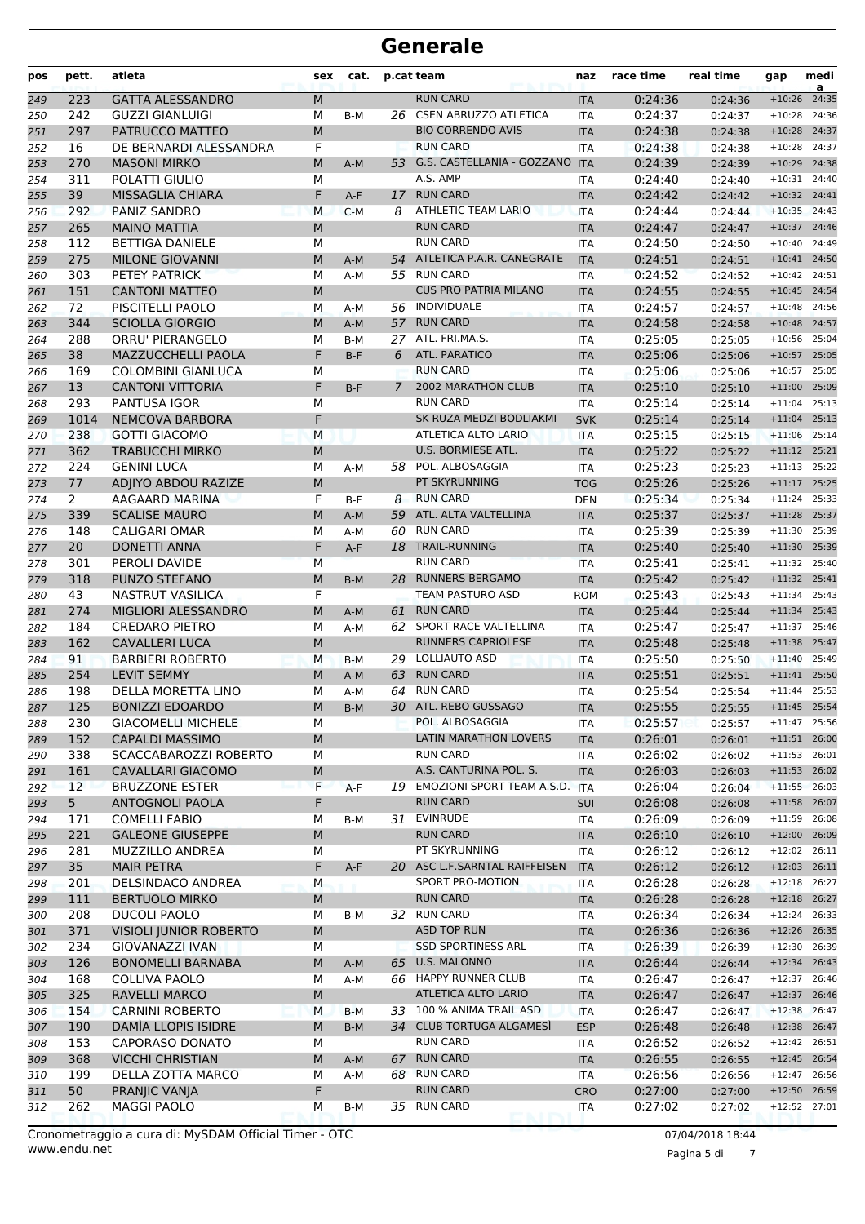| pos        | pett.           | atleta                                              | sex    | cat.         |                | p.cat team                                      | naz                      | race time          | real time          | gap                  | medi<br>a      |
|------------|-----------------|-----------------------------------------------------|--------|--------------|----------------|-------------------------------------------------|--------------------------|--------------------|--------------------|----------------------|----------------|
| 249        | 223             | <b>GATTA ALESSANDRO</b>                             | M      |              |                | <b>RUN CARD</b>                                 | <b>ITA</b>               | 0:24:36            | 0:24:36            | $+10:26$             | 24:35          |
| 250        | 242             | <b>GUZZI GIANLUIGI</b>                              | М      | B-M          |                | 26 CSEN ABRUZZO ATLETICA                        | ITA                      | 0:24:37            | 0:24:37            | $+10:28$             | 24:36          |
| 251        | 297             | PATRUCCO MATTEO                                     | M      |              |                | <b>BIO CORRENDO AVIS</b>                        | <b>ITA</b>               | 0:24:38            | 0:24:38            | $+10:28$             | 24:37          |
| 252        | 16              | DE BERNARDI ALESSANDRA                              | F      |              |                | <b>RUN CARD</b>                                 | <b>ITA</b>               | 0:24:38            | 0:24:38            | $+10:28$             | 24:37          |
| 253        | 270             | <b>MASONI MIRKO</b>                                 | M      | $A-M$        | 53             | G.S. CASTELLANIA - GOZZANO                      | <b>ITA</b>               | 0:24:39            | 0:24:39            | $+10:29$             | 24:38          |
| 254        | 311             | POLATTI GIULIO                                      | М      |              |                | A.S. AMP                                        | <b>ITA</b>               | 0:24:40            | 0:24:40            | $+10:31$             | 24:40          |
| 255        | 39              | MISSAGLIA CHIARA                                    | F      | $A-F$        |                | 17 RUN CARD                                     | <b>ITA</b>               | 0:24:42            | 0:24:42            | $+10:32$             | 24:41          |
| 256        | 292             | PANIZ SANDRO                                        | M      | $C-M$        | 8              | ATHLETIC TEAM LARIO                             | <b>ITA</b>               | 0:24:44            | 0:24:44            | $+10:35$             | 24:43          |
| 257        | 265             | <b>MAINO MATTIA</b>                                 | M      |              |                | <b>RUN CARD</b>                                 | <b>ITA</b>               | 0:24:47            | 0:24:47            | $+10:37$             | 24:46          |
| 258        | 112             | <b>BETTIGA DANIELE</b>                              | М      |              |                | <b>RUN CARD</b>                                 | <b>ITA</b>               | 0:24:50            | 0:24:50            | $+10:40$             | 24:49          |
| 259        | 275<br>303      | <b>MILONE GIOVANNI</b><br>PETEY PATRICK             | M<br>М | $A-M$        | 54             | ATLETICA P.A.R. CANEGRATE<br>55 RUN CARD        | <b>ITA</b>               | 0:24:51            | 0:24:51            | $+10:41$             | 24:50<br>24:51 |
| 260<br>261 | 151             | <b>CANTONI MATTEO</b>                               | M      | A-M          |                | <b>CUS PRO PATRIA MILANO</b>                    | <b>ITA</b><br><b>ITA</b> | 0:24:52<br>0:24:55 | 0:24:52<br>0:24:55 | $+10:42$<br>$+10:45$ | 24:54          |
| 262        | 72              | PISCITELLI PAOLO                                    | М      | $A-M$        |                | 56 INDIVIDUALE                                  | ITA                      | 0:24:57            | 0:24:57            | $+10:48$             | 24:56          |
| 263        | 344             | <b>SCIOLLA GIORGIO</b>                              | M      | $A-M$        | 57             | <b>RUN CARD</b>                                 | <b>ITA</b>               | 0:24:58            | 0:24:58            | $+10:48$             | 24:57          |
| 264        | 288             | <b>ORRU' PIERANGELO</b>                             | M      | B-M          | 27             | ATL. FRI.MA.S.                                  | <b>ITA</b>               | 0:25:05            | 0:25:05            | $+10:56$             | 25:04          |
| 265        | 38              | MAZZUCCHELLI PAOLA                                  | F      | $B-F$        | 6              | <b>ATL. PARATICO</b>                            | <b>ITA</b>               | 0:25:06            | 0:25:06            | $+10:57$             | 25:05          |
| 266        | 169             | <b>COLOMBINI GIANLUCA</b>                           | М      |              |                | <b>RUN CARD</b>                                 | <b>ITA</b>               | 0:25:06            | 0:25:06            | $+10:57$             | 25:05          |
| 267        | 13              | <b>CANTONI VITTORIA</b>                             | F.     | $B-F$        | $\overline{7}$ | <b>2002 MARATHON CLUB</b>                       | <b>ITA</b>               | 0:25:10            | 0:25:10            | $+11:00$             | 25:09          |
| 268        | 293             | <b>PANTUSA IGOR</b>                                 | М      |              |                | <b>RUN CARD</b>                                 | <b>ITA</b>               | 0:25:14            | 0:25:14            | $+11:04$             | 25:13          |
| 269        | 1014            | <b>NEMCOVA BARBORA</b>                              | F      |              |                | SK RUZA MEDZI BODLIAKMI                         | <b>SVK</b>               | 0:25:14            | 0:25:14            | $+11:04$             | 25:13          |
| 270        | 238             | <b>GOTTI GIACOMO</b>                                | M      |              |                | ATLETICA ALTO LARIO                             | <b>ITA</b>               | 0:25:15            | 0:25:15            | $+11:06$ 25:14       |                |
| 271        | 362             | <b>TRABUCCHI MIRKO</b>                              | M      |              |                | <b>U.S. BORMIESE ATL.</b>                       | <b>ITA</b>               | 0:25:22            | 0:25:22            | $+11:12$             | 25:21          |
| 272        | 224             | <b>GENINI LUCA</b>                                  | М      | $A-M$        |                | 58 POL. ALBOSAGGIA                              | <b>ITA</b>               | 0:25:23            | 0:25:23            | $+11:13$             | 25:22          |
| 273        | 77              | ADJIYO ABDOU RAZIZE                                 | M      |              |                | PT SKYRUNNING                                   | <b>TOG</b>               | 0:25:26            | 0:25:26            | $+11:17$             | 25:25          |
| 274        | $\overline{2}$  | AAGAARD MARINA                                      | F      | B-F          | 8              | <b>RUN CARD</b>                                 | <b>DEN</b>               | 0:25:34            | 0:25:34            | $+11:24$             | 25:33          |
| 275        | 339             | <b>SCALISE MAURO</b>                                | M      | $A-M$        | 59             | ATL. ALTA VALTELLINA                            | <b>ITA</b>               | 0:25:37            | 0:25:37            | $+11:28$             | 25:37          |
| 276        | 148             | <b>CALIGARI OMAR</b>                                | M      | $A-M$        | 60             | <b>RUN CARD</b>                                 | <b>ITA</b>               | 0:25:39            | 0:25:39            | $+11:30$             | 25:39          |
| 277        | 20              | <b>DONETTI ANNA</b>                                 | F      | A-F          |                | 18 TRAIL-RUNNING                                | <b>ITA</b>               | 0:25:40            | 0:25:40            | $+11:30$             | 25:39          |
| 278        | 301             | PEROLI DAVIDE                                       | M      |              |                | <b>RUN CARD</b>                                 | <b>ITA</b>               | 0:25:41            | 0:25:41            | $+11:32$             | 25:40          |
| 279        | 318             | PUNZO STEFANO                                       | M      | $B-M$        |                | 28 RUNNERS BERGAMO                              | <b>ITA</b>               | 0:25:42            | 0:25:42            | $+11:32$             | 25:41          |
| 280        | 43              | <b>NASTRUT VASILICA</b>                             | F      |              |                | TEAM PASTURO ASD                                | <b>ROM</b>               | 0:25:43            | 0:25:43            | $+11:34$             | 25:43          |
| 281        | 274<br>184      | <b>MIGLIORI ALESSANDRO</b><br><b>CREDARO PIETRO</b> | M<br>M | $A-M$        | 61<br>62       | <b>RUN CARD</b><br>SPORT RACE VALTELLINA        | <b>ITA</b>               | 0:25:44<br>0:25:47 | 0:25:44            | $+11:34$<br>$+11:37$ | 25:43<br>25:46 |
| 282<br>283 | 162             | <b>CAVALLERI LUCA</b>                               | M      | $A-M$        |                | <b>RUNNERS CAPRIOLESE</b>                       | <b>ITA</b><br><b>ITA</b> | 0:25:48            | 0:25:47<br>0:25:48 | $+11:38$             | 25:47          |
| 284        | 91              | <b>BARBIERI ROBERTO</b>                             | M      | $B-M$        |                | 29 LOLLIAUTO ASD                                | <b>ITA</b>               | 0:25:50            | 0:25:50            | $+11:40$             | 25:49          |
| 285        | 254             | <b>LEVIT SEMMY</b>                                  | M      | $A-M$        | 63             | <b>RUN CARD</b>                                 | <b>ITA</b>               | 0:25:51            | 0:25:51            | $+11:41$             | 25:50          |
| 286        | 198             | DELLA MORETTA LINO                                  | М      | $A-M$        | 64             | <b>RUN CARD</b>                                 | <b>ITA</b>               | 0:25:54            | 0:25:54            | $+11:44$             | 25:53          |
| 287        | 125             | <b>BONIZZI EDOARDO</b>                              | M      | $B-M$        |                | 30 ATL. REBO GUSSAGO                            | <b>ITA</b>               | 0:25:55            | 0:25:55            | $+11:45$ 25:54       |                |
| 288        | 230             | <b>GIACOMELLI MICHELE</b>                           | М      |              |                | POL. ALBOSAGGIA                                 | ITA                      | 0:25:57            | 0:25:57            | $+11:47$ 25:56       |                |
| 289        | 152             | CAPALDI MASSIMO                                     | M      |              |                | <b>LATIN MARATHON LOVERS</b>                    | <b>ITA</b>               | 0:26:01            | 0:26:01            | $+11:51$ 26:00       |                |
| 290        | 338             | SCACCABAROZZI ROBERTO                               | М      |              |                | <b>RUN CARD</b>                                 | <b>ITA</b>               | 0:26:02            | 0:26:02            | $+11:53$ 26:01       |                |
| 291        | 161             | CAVALLARI GIACOMO                                   | M      |              |                | A.S. CANTURINA POL. S.                          | <b>ITA</b>               | 0:26:03            | 0:26:03            | $+11:53$ 26:02       |                |
| 292        | 12 <sup>2</sup> | <b>BRUZZONE ESTER</b>                               | F.     | A-F          |                | 19 EMOZIONI SPORT TEAM A.S.D. ITA               |                          | 0:26:04            | 0:26:04            | $+11:55$ 26:03       |                |
| 293        | 5 <sub>1</sub>  | ANTOGNOLI PAOLA                                     | F      |              |                | <b>RUN CARD</b>                                 | <b>SUI</b>               | 0:26:08            | 0:26:08            | $+11:58$             | 26:07          |
| 294        | 171             | <b>COMELLI FABIO</b>                                | М      | B-M          | 31             | <b>EVINRUDE</b>                                 | ITA                      | 0:26:09            | 0:26:09            | $+11:59$             | 26:08          |
| 295        | 221             | <b>GALEONE GIUSEPPE</b>                             | M      |              |                | <b>RUN CARD</b>                                 | <b>ITA</b>               | 0:26:10            | 0:26:10            | $+12:00$ 26:09       |                |
| 296        | 281             | MUZZILLO ANDREA                                     | М      |              |                | PT SKYRUNNING                                   | ITA                      | 0:26:12            | 0:26:12            | $+12:02$ 26:11       |                |
| 297        | 35              | <b>MAIR PETRA</b>                                   | F      | A-F          |                | 20 ASC L.F.SARNTAL RAIFFEISEN                   | <b>ITA</b>               | 0:26:12            | 0:26:12            | $+12:03$             | 26:11          |
| 298        | 201             | DELSINDACO ANDREA                                   | M      |              |                | SPORT PRO-MOTION                                | ITA                      | 0:26:28            | 0:26:28            | $+12:18$ 26:27       |                |
| 299        | 111             | <b>BERTUOLO MIRKO</b>                               | M      |              |                | <b>RUN CARD</b>                                 | <b>ITA</b>               | 0:26:28            | 0:26:28            | $+12:18$ 26:27       |                |
| 300        | 208             | <b>DUCOLI PAOLO</b>                                 | М      | $B-M$        | 32             | <b>RUN CARD</b>                                 | ITA                      | 0:26:34            | 0:26:34            | $+12:24$ 26:33       |                |
| 301        | 371             | <b>VISIOLI JUNIOR ROBERTO</b>                       | M      |              |                | <b>ASD TOP RUN</b><br><b>SSD SPORTINESS ARL</b> | <b>ITA</b>               | 0:26:36            | 0:26:36            | +12:26 26:35         |                |
| 302        | 234             | GIOVANAZZI IVAN                                     | М      |              |                | 65 U.S. MALONNO                                 | <b>ITA</b>               | 0:26:39            | 0:26:39            | +12:30 26:39         | 26:43          |
| 303        | 126<br>168      | <b>BONOMELLI BARNABA</b><br>COLLIVA PAOLO           | M<br>М | $A-M$<br>A-M |                | 66 HAPPY RUNNER CLUB                            | <b>ITA</b><br><b>ITA</b> | 0:26:44<br>0:26:47 | 0:26:44            | $+12:34$<br>$+12:37$ | 26:46          |
| 304        | 325             | <b>RAVELLI MARCO</b>                                | M      |              |                | ATLETICA ALTO LARIO                             | <b>ITA</b>               | 0:26:47            | 0:26:47            | $+12:37$             | 26:46          |
| 305<br>306 | 154             | <b>CARNINI ROBERTO</b>                              | M      | $B-M$        |                | 33 100 % ANIMA TRAIL ASD                        | <b>ITA</b>               | 0:26:47            | 0:26:47<br>0:26:47 | $+12:38$ 26:47       |                |
| 307        | 190             | DAMÍA LLOPIS ISIDRE                                 | M      | $B-M$        |                | 34 CLUB TORTUGA ALGAMESI                        | <b>ESP</b>               | 0:26:48            | 0:26:48            | $+12:38$ 26:47       |                |
| 308        | 153             | <b>CAPORASO DONATO</b>                              | М      |              |                | <b>RUN CARD</b>                                 | ITA                      | 0:26:52            | 0:26:52            | $+12:42$ 26:51       |                |
| 309        | 368             | <b>VICCHI CHRISTIAN</b>                             | M      | A-M          |                | 67 RUN CARD                                     | <b>ITA</b>               | 0:26:55            | 0:26:55            | $+12:45$             | 26:54          |
| 310        | 199             | DELLA ZOTTA MARCO                                   | М      | A-M          |                | 68 RUN CARD                                     | <b>ITA</b>               | 0:26:56            | 0:26:56            | $+12:47$             | 26:56          |
| 311        | 50              | PRANJIC VANJA                                       | F      |              |                | <b>RUN CARD</b>                                 | <b>CRO</b>               | 0:27:00            | 0:27:00            | $+12:50$             | 26:59          |
| 312        | 262             | <b>MAGGI PAOLO</b>                                  | М      | B-M          |                | 35 RUN CARD                                     | ITA                      | 0:27:02            | 0:27:02            | $+12:52$ 27:01       |                |
|            |                 |                                                     |        |              |                | <b>PEACH</b>                                    |                          |                    |                    |                      |                |

Pagina 5 di 7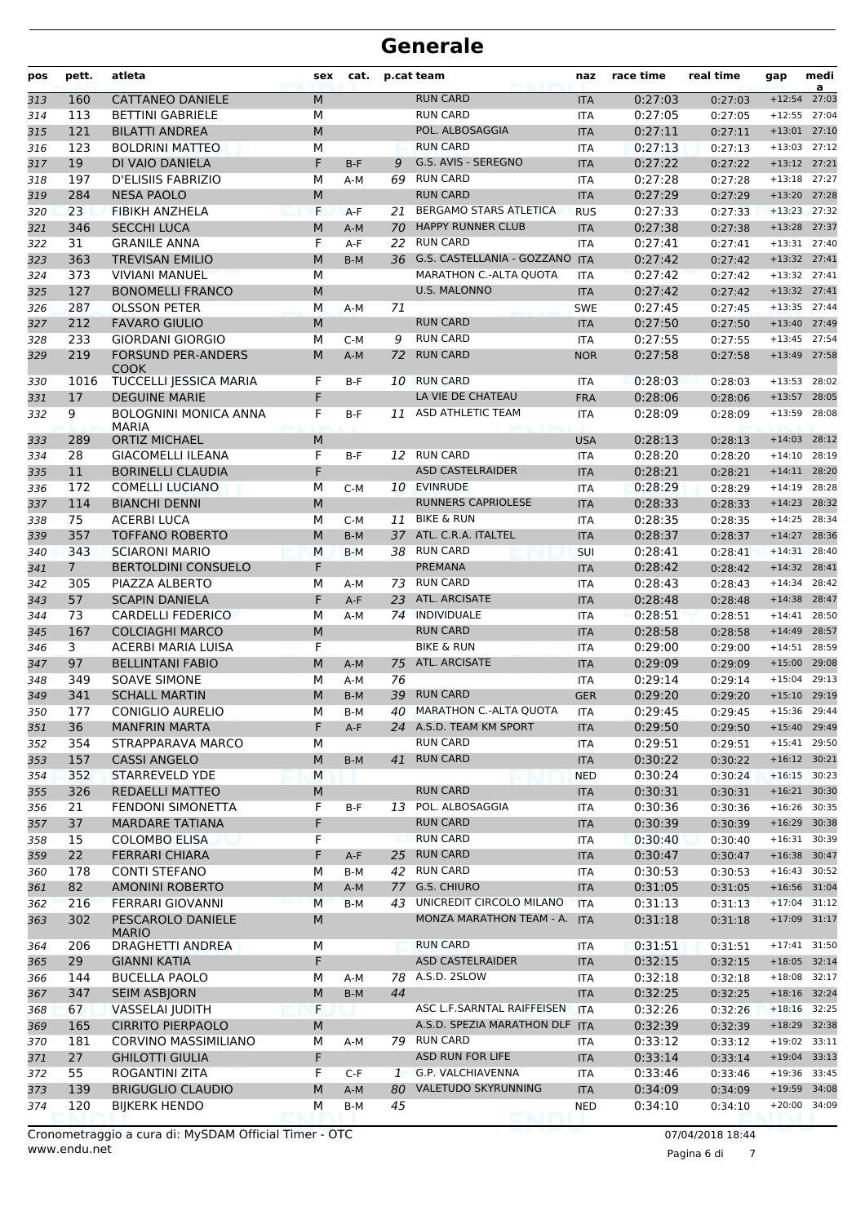| pos | pett.          | atleta                                       | sex       | cat.  |              | p.cat team                     | naz        | race time | real time | gap            | medi<br>a      |
|-----|----------------|----------------------------------------------|-----------|-------|--------------|--------------------------------|------------|-----------|-----------|----------------|----------------|
| 313 | 160            | <b>CATTANEO DANIELE</b>                      | ${\sf M}$ |       |              | <b>RUN CARD</b>                | <b>ITA</b> | 0:27:03   | 0:27:03   | $+12:54$       | 27:03          |
| 314 | 113            | <b>BETTINI GABRIELE</b>                      | М         |       |              | <b>RUN CARD</b>                | <b>ITA</b> | 0:27:05   | 0:27:05   | $+12:55$       | 27:04          |
| 315 | 121            | <b>BILATTI ANDREA</b>                        | M         |       |              | POL. ALBOSAGGIA                | <b>ITA</b> | 0:27:11   | 0:27:11   | $+13:01$       | 27:10          |
| 316 | 123            | <b>BOLDRINI MATTEO</b>                       | М         |       |              | <b>RUN CARD</b>                | <b>ITA</b> | 0:27:13   | 0:27:13   | $+13:03$ 27:12 |                |
| 317 | 19             | DI VAIO DANIELA                              | F         | $B-F$ | 9            | G.S. AVIS - SEREGNO            | <b>ITA</b> | 0:27:22   | 0:27:22   | +13:12 27:21   |                |
| 318 | 197            | <b>D'ELISIIS FABRIZIO</b>                    | М         | $A-M$ |              | 69 RUN CARD                    | <b>ITA</b> | 0:27:28   | 0:27:28   | $+13:18$ 27:27 |                |
| 319 | 284            | <b>NESA PAOLO</b>                            | М         |       |              | <b>RUN CARD</b>                | <b>ITA</b> | 0:27:29   | 0:27:29   | +13:20 27:28   |                |
| 320 | 23             | <b>FIBIKH ANZHELA</b>                        | F         | $A-F$ | 21           | BERGAMO STARS ATLETICA         | <b>RUS</b> | 0:27:33   | 0:27:33   | $+13:23$ 27:32 |                |
| 321 | 346            | <b>SECCHI LUCA</b>                           | M         | $A-M$ | 70           | <b>HAPPY RUNNER CLUB</b>       | <b>ITA</b> | 0:27:38   | 0:27:38   | +13:28 27:37   |                |
| 322 | 31             | <b>GRANILE ANNA</b>                          | F         | A-F   | 22           | <b>RUN CARD</b>                | <b>ITA</b> | 0:27:41   | 0:27:41   | $+13:31$ 27:40 |                |
| 323 | 363            | <b>TREVISAN EMILIO</b>                       | M         | $B-M$ | 36           | G.S. CASTELLANIA - GOZZANO     | <b>ITA</b> | 0:27:42   | 0:27:42   | +13:32 27:41   |                |
| 324 | 373            | <b>VIVIANI MANUEL</b>                        | М         |       |              | <b>MARATHON C.-ALTA QUOTA</b>  | <b>ITA</b> | 0:27:42   | 0:27:42   | $+13:32$ 27:41 |                |
| 325 | 127            | <b>BONOMELLI FRANCO</b>                      | M         |       |              | <b>U.S. MALONNO</b>            | <b>ITA</b> | 0:27:42   | 0:27:42   | +13:32 27:41   |                |
| 326 | 287            | <b>OLSSON PETER</b>                          | M         | $A-M$ | 71           |                                | <b>SWE</b> | 0:27:45   | 0:27:45   | $+13:35$ 27:44 |                |
| 327 | 212            | <b>FAVARO GIULIO</b>                         | M         |       |              | <b>RUN CARD</b>                | <b>ITA</b> | 0:27:50   | 0:27:50   | $+13:40$       | 27:49          |
| 328 | 233            | <b>GIORDANI GIORGIO</b>                      | М         | $C-M$ | 9            | <b>RUN CARD</b>                | <b>ITA</b> | 0:27:55   | 0:27:55   | $+13:45$ 27:54 |                |
| 329 | 219            | <b>FORSUND PER-ANDERS</b><br><b>COOK</b>     | M         | $A-M$ | 72           | <b>RUN CARD</b>                | <b>NOR</b> | 0:27:58   | 0:27:58   | +13:49 27:58   |                |
| 330 | 1016           | <b>TUCCELLI JESSICA MARIA</b>                | F         | B-F   |              | 10 RUN CARD                    | <b>ITA</b> | 0:28:03   | 0:28:03   | $+13:53$       | 28:02          |
| 331 | 17             | <b>DEGUINE MARIE</b>                         | F         |       |              | LA VIE DE CHATEAU              | <b>FRA</b> | 0:28:06   | 0:28:06   | $+13:57$       | 28:05          |
| 332 | 9              | <b>BOLOGNINI MONICA ANNA</b><br><b>MARIA</b> | F         | B-F   |              | 11 ASD ATHLETIC TEAM           | <b>ITA</b> | 0:28:09   | 0:28:09   | $+13:59$       | 28:08          |
| 333 | 289            | <b>ORTIZ MICHAEL</b>                         | M         |       |              |                                | <b>USA</b> | 0:28:13   | 0:28:13   | $+14:03$       | 28:12          |
| 334 | 28             | <b>GIACOMELLI ILEANA</b>                     | F         | $B-F$ |              | 12 RUN CARD                    | <b>ITA</b> | 0:28:20   | 0:28:20   | $+14:10$       | 28:19          |
| 335 | 11             | <b>BORINELLI CLAUDIA</b>                     | F         |       |              | <b>ASD CASTELRAIDER</b>        | <b>ITA</b> | 0:28:21   | 0:28:21   | $+14:11$       | 28:20          |
| 336 | 172            | <b>COMELLI LUCIANO</b>                       | М         | $C-M$ |              | 10 EVINRUDE                    | <b>ITA</b> | 0:28:29   | 0:28:29   | $+14:19$       | 28:28          |
| 337 | 114            | <b>BIANCHI DENNI</b>                         | M         |       |              | RUNNERS CAPRIOLESE             | <b>ITA</b> | 0:28:33   | 0:28:33   | $+14:23$       | 28:32          |
| 338 | 75             | <b>ACERBI LUCA</b>                           | М         | $C-M$ | 11           | <b>BIKE &amp; RUN</b>          | <b>ITA</b> | 0:28:35   | 0:28:35   | $+14:25$       | 28:34          |
| 339 | 357            | <b>TOFFANO ROBERTO</b>                       | M         | $B-M$ |              | 37 ATL. C.R.A. ITALTEL         | <b>ITA</b> | 0:28:37   | 0:28:37   | $+14:27$       | 28:36          |
| 340 | 343            | <b>SCIARONI MARIO</b>                        | M         | $B-M$ |              | 38 RUN CARD                    | SUI        | 0:28:41   | 0:28:41   | $+14:31$ 28:40 |                |
| 341 | 7 <sup>1</sup> | <b>BERTOLDINI CONSUELO</b>                   | F         |       |              | <b>PREMANA</b>                 | <b>ITA</b> | 0:28:42   | 0:28:42   | $+14:32$       | 28:41          |
| 342 | 305            | PIAZZA ALBERTO                               | М         | A-M   | 73           | <b>RUN CARD</b>                | <b>ITA</b> | 0:28:43   | 0:28:43   | $+14:34$       | 28:42          |
| 343 | 57             | <b>SCAPIN DANIELA</b>                        | F         | A-F   | 23           | ATL. ARCISATE                  | <b>ITA</b> | 0:28:48   | 0:28:48   | $+14:38$       | 28:47          |
| 344 | 73             | <b>CARDELLI FEDERICO</b>                     | М         | $A-M$ |              | 74 INDIVIDUALE                 | <b>ITA</b> | 0:28:51   | 0:28:51   | $+14:41$ 28:50 |                |
| 345 | 167            | <b>COLCIAGHI MARCO</b>                       | М         |       |              | <b>RUN CARD</b>                | <b>ITA</b> | 0:28:58   | 0:28:58   | $+14:49$       | 28:57          |
| 346 | $\overline{3}$ | ACERBI MARIA LUISA                           | F         |       |              | <b>BIKE &amp; RUN</b>          | <b>ITA</b> | 0:29:00   | 0:29:00   | $+14:51$       | 28:59          |
| 347 | 97             | <b>BELLINTANI FABIO</b>                      | М         | $A-M$ | 75           | ATL. ARCISATE                  | <b>ITA</b> | 0:29:09   | 0:29:09   | $+15:00$       | 29:08          |
| 348 | 349            | <b>SOAVE SIMONE</b>                          | M         | $A-M$ | 76           |                                | <b>ITA</b> | 0:29:14   | 0:29:14   | $+15:04$       | 29:13          |
| 349 | 341            | <b>SCHALL MARTIN</b>                         | M         | $B-M$ | 39           | <b>RUN CARD</b>                | <b>GER</b> | 0:29:20   | 0:29:20   | $+15:10$       | 29:19          |
| 350 | 177            | <b>CONIGLIO AURELIO</b>                      | М         | B-M   | 40           | MARATHON C.-ALTA QUOTA         | <b>ITA</b> | 0:29:45   | 0:29:45   | +15:36 29:44   |                |
| 351 | 36             | <b>MANFRIN MARTA</b>                         | F         | A-F   |              | 24 A.S.D. TEAM KM SPORT        | <b>ITA</b> | 0:29:50   | 0:29:50   | $+15:40$ 29:49 |                |
| 352 | 354            | STRAPPARAVA MARCO                            | М         |       |              | <b>RUN CARD</b>                | <b>ITA</b> | 0:29:51   | 0:29:51   |                | +15:41 29:50   |
| 353 | 157            | <b>CASSI ANGELO</b>                          | M         | $B-M$ | 41           | <b>RUN CARD</b>                | <b>ITA</b> | 0:30:22   | 0:30:22   | $+16:12$ 30:21 |                |
| 354 | 352            | STARREVELD YDE                               | M         |       |              |                                | <b>NED</b> | 0:30:24   | 0:30:24   | $+16:15$ 30:23 |                |
| 355 | 326            | <b>REDAELLI MATTEO</b>                       | M         |       |              | <b>RUN CARD</b>                | <b>ITA</b> | 0:30:31   | 0:30:31   | $+16:21$ 30:30 |                |
| 356 | 21             | <b>FENDONI SIMONETTA</b>                     | F         | B-F   |              | 13 POL. ALBOSAGGIA             | <b>ITA</b> | 0:30:36   | 0:30:36   | $+16:26$ 30:35 |                |
| 357 | 37             | <b>MARDARE TATIANA</b>                       | F         |       |              | <b>RUN CARD</b>                | <b>ITA</b> | 0:30:39   | 0:30:39   | $+16:29$ 30:38 |                |
| 358 | 15             | <b>COLOMBO ELISA</b>                         | F         |       |              | <b>RUN CARD</b>                | <b>ITA</b> | 0:30:40   | 0:30:40   | $+16:31$ 30:39 |                |
| 359 | 22             | <b>FERRARI CHIARA</b>                        | F         | A-F   | 25           | <b>RUN CARD</b>                | <b>ITA</b> | 0:30:47   | 0:30:47   | $+16:38$ 30:47 |                |
| 360 | 178            | <b>CONTI STEFANO</b>                         | М         | B-M   | 42           | <b>RUN CARD</b>                | ITA        | 0:30:53   | 0:30:53   | $+16:43$ 30:52 |                |
| 361 | 82             | <b>AMONINI ROBERTO</b>                       | М         | $A-M$ | 77           | <b>G.S. CHIURO</b>             | <b>ITA</b> | 0:31:05   | 0:31:05   | $+16:56$ 31:04 |                |
| 362 | 216            | FERRARI GIOVANNI                             | M         | $B-M$ |              | 43 UNICREDIT CIRCOLO MILANO    | <b>ITA</b> | 0:31:13   | 0:31:13   |                | $+17:04$ 31:12 |
| 363 | 302            | PESCAROLO DANIELE<br><b>MARIO</b>            | М         |       |              | MONZA MARATHON TEAM - A. ITA   |            | 0:31:18   | 0:31:18   | $+17:09$ 31:17 |                |
| 364 | 206            | DRAGHETTI ANDREA                             | М         |       |              | <b>RUN CARD</b>                | ITA        | 0:31:51   | 0:31:51   | $+17:41$ 31:50 |                |
| 365 | 29             | <b>GIANNI KATIA</b>                          | F         |       |              | <b>ASD CASTELRAIDER</b>        | <b>ITA</b> | 0:32:15   | 0:32:15   | $+18:05$ 32:14 |                |
| 366 | 144            | <b>BUCELLA PAOLO</b>                         | М         | A-M   |              | 78 A.S.D. 2SLOW                | <b>ITA</b> | 0:32:18   | 0:32:18   |                | $+18:08$ 32:17 |
| 367 | 347            | <b>SEIM ASBJORN</b>                          | М         | $B-M$ | 44           |                                | <b>ITA</b> | 0:32:25   | 0:32:25   | $+18:16$ 32:24 |                |
| 368 | 67             | VASSELAI JUDITH                              | F         |       |              | ASC L.F.SARNTAL RAIFFEISEN     | <b>ITA</b> | 0:32:26   | 0:32:26   | $+18:16$ 32:25 |                |
| 369 | 165            | <b>CIRRITO PIERPAOLO</b>                     | М         |       |              | A.S.D. SPEZIA MARATHON DLF ITA |            | 0:32:39   | 0:32:39   | +18:29 32:38   |                |
| 370 | 181            | CORVINO MASSIMILIANO                         | М         | A-M   |              | 79 RUN CARD                    | ITA        | 0:33:12   | 0:33:12   | $+19:02$ 33:11 |                |
| 371 | 27             | <b>GHILOTTI GIULIA</b>                       | F         |       |              | ASD RUN FOR LIFE               | <b>ITA</b> | 0:33:14   | 0:33:14   | $+19:04$ 33:13 |                |
| 372 | 55             | <b>ROGANTINI ZITA</b>                        | F         | $C-F$ | $\mathbf{1}$ | G.P. VALCHIAVENNA              | <b>ITA</b> | 0:33:46   | 0:33:46   | +19:36 33:45   |                |
| 373 | 139            | <b>BRIGUGLIO CLAUDIO</b>                     | М         | $A-M$ | 80           | VALETUDO SKYRUNNING            | <b>ITA</b> | 0:34:09   | 0:34:09   | $+19:59$ 34:08 |                |
| 374 | 120            | <b>BIJKERK HENDO</b>                         | М         | B-M   | 45           |                                | <b>NED</b> | 0:34:10   | 0:34:10   |                | +20:00 34:09   |

Pagina 6 di 7